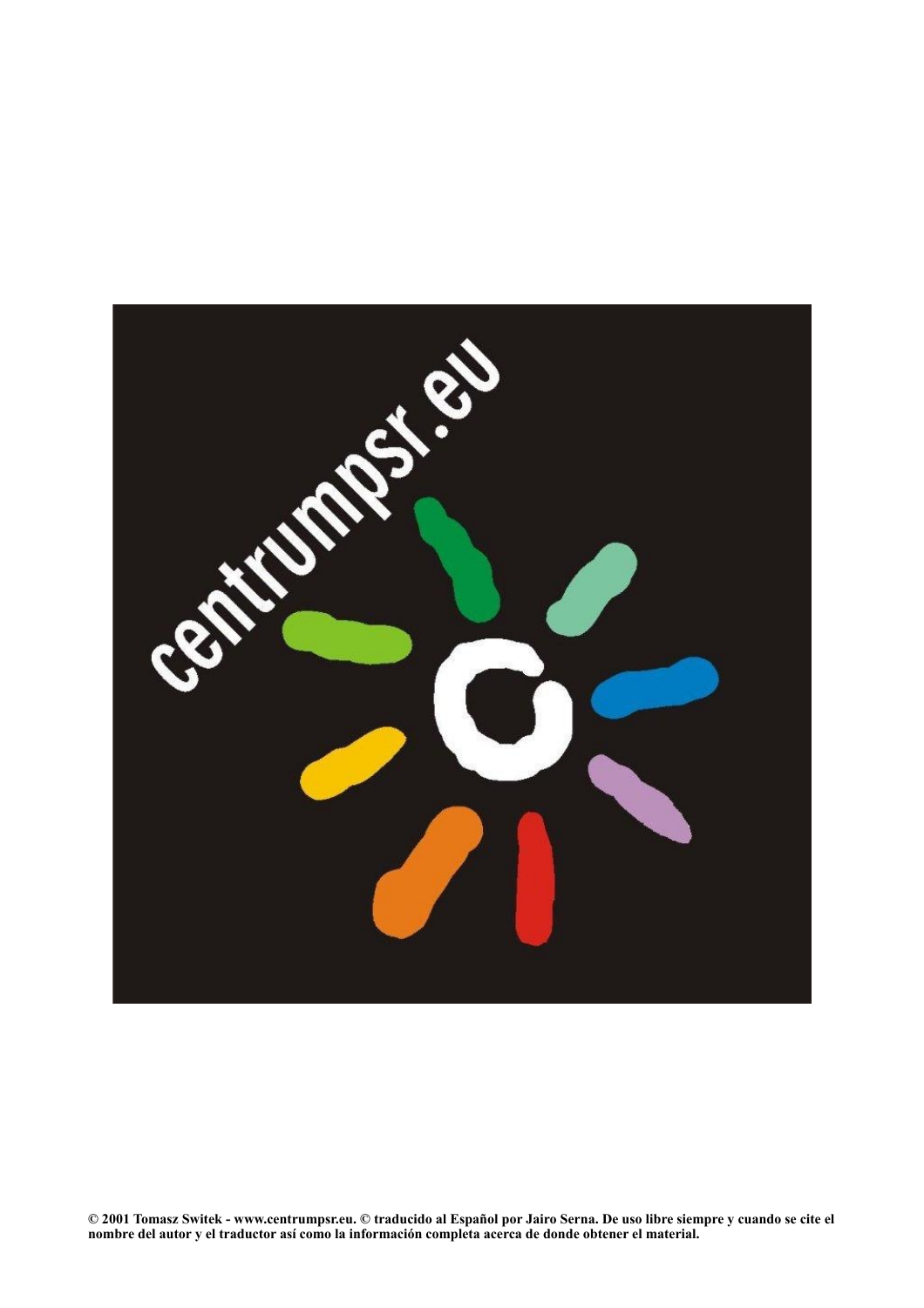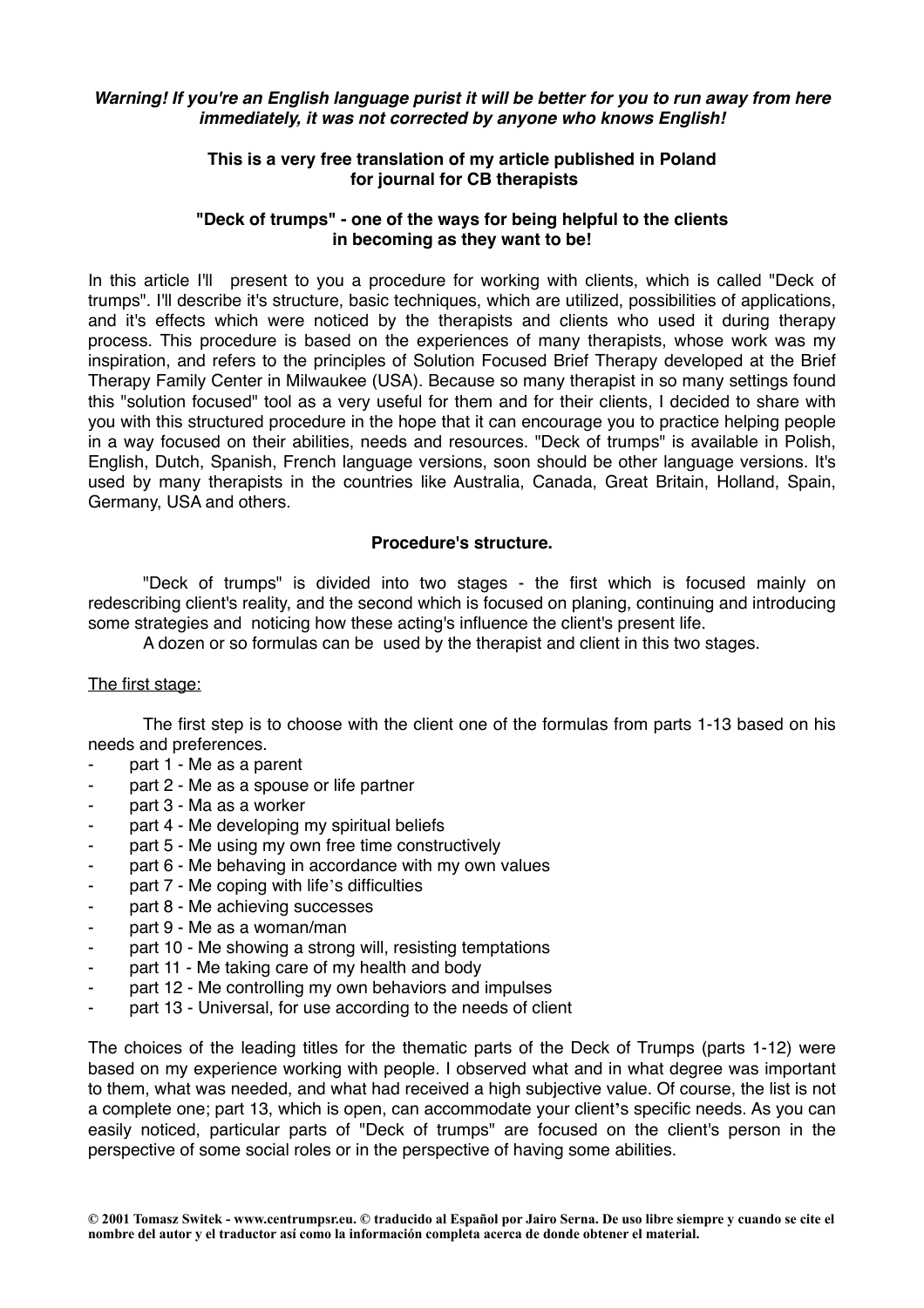#### *Warning! If you're an English language purist it will be better for you to run away from here immediately, it was not corrected by anyone who knows English!*

## **This is a very free translation of my article published in Poland for journal for CB therapists**

#### **"Deck of trumps" - one of the ways for being helpful to the clients in becoming as they want to be!**

In this article I'll present to you a procedure for working with clients, which is called "Deck of trumps". I'll describe it's structure, basic techniques, which are utilized, possibilities of applications, and it's effects which were noticed by the therapists and clients who used it during therapy process. This procedure is based on the experiences of many therapists, whose work was my inspiration, and refers to the principles of Solution Focused Brief Therapy developed at the Brief Therapy Family Center in Milwaukee (USA). Because so many therapist in so many settings found this "solution focused" tool as a very useful for them and for their clients, I decided to share with you with this structured procedure in the hope that it can encourage you to practice helping people in a way focused on their abilities, needs and resources. "Deck of trumps" is available in Polish, English, Dutch, Spanish, French language versions, soon should be other language versions. It's used by many therapists in the countries like Australia, Canada, Great Britain, Holland, Spain, Germany, USA and others.

## **Procedure's structure.**

"Deck of trumps" is divided into two stages - the first which is focused mainly on redescribing client's reality, and the second which is focused on planing, continuing and introducing some strategies and noticing how these acting's influence the client's present life.

A dozen or so formulas can be used by the therapist and client in this two stages.

#### The first stage:

The first step is to choose with the client one of the formulas from parts 1-13 based on his needs and preferences.

- part 1 Me as a parent
- part 2 Me as a spouse or life partner
- part 3 Ma as a worker
- part 4 Me developing my spiritual beliefs
- part 5 Me using my own free time constructively
- part 6 Me behaving in accordance with my own values
- part 7 Me coping with life's difficulties
- part 8 Me achieving successes
- part 9 Me as a woman/man
- part 10 Me showing a strong will, resisting temptations
- part 11 Me taking care of my health and body
- part 12 Me controlling my own behaviors and impulses
- part 13 Universal, for use according to the needs of client

The choices of the leading titles for the thematic parts of the Deck of Trumps (parts 1-12) were based on my experience working with people. I observed what and in what degree was important to them, what was needed, and what had received a high subjective value. Of course, the list is not a complete one; part 13, which is open, can accommodate your client**'**s specific needs. As you can easily noticed, particular parts of "Deck of trumps" are focused on the client's person in the perspective of some social roles or in the perspective of having some abilities.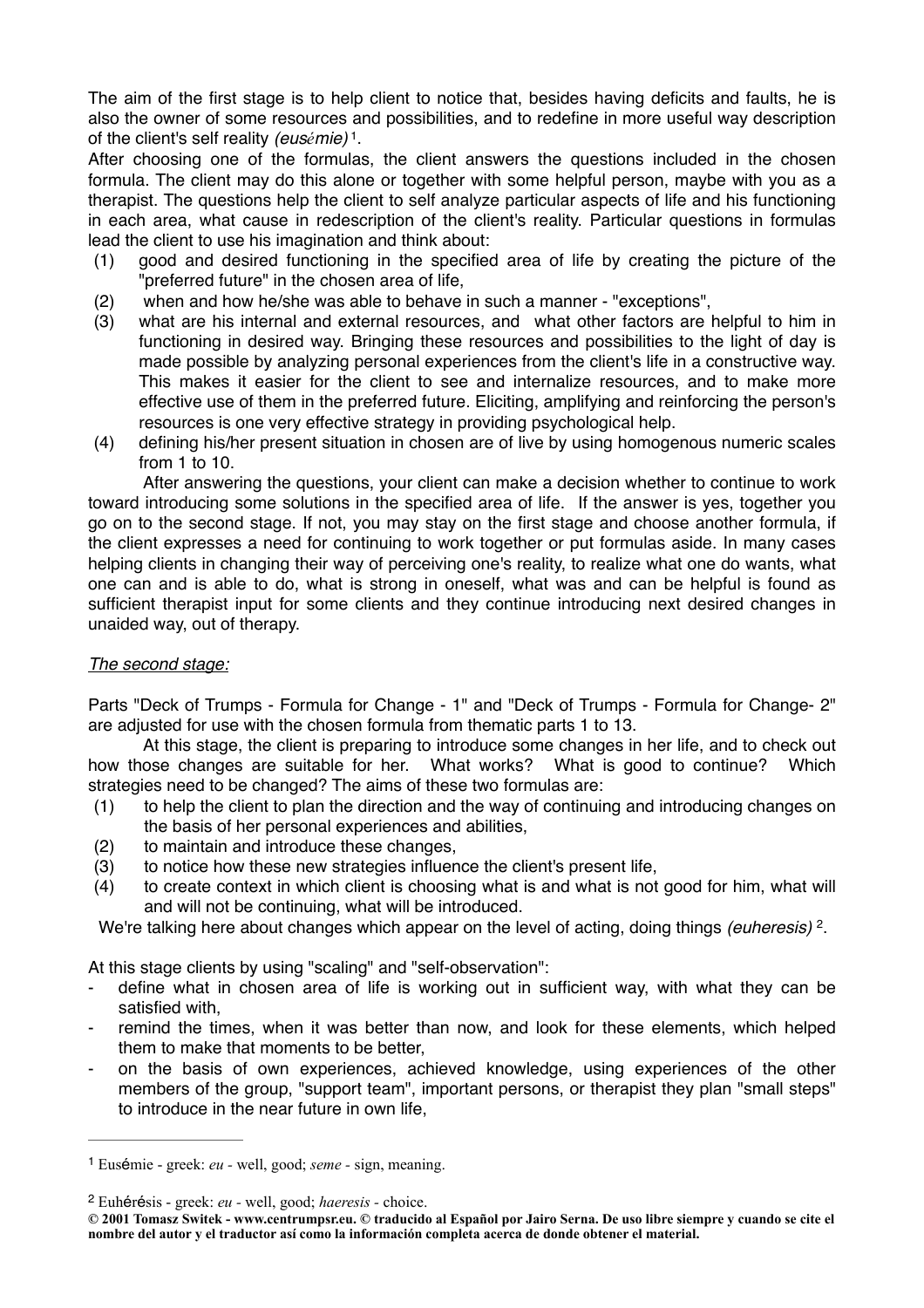The aim of the first stage is to help client to notice that, besides having deficits and faults, he is also the owner of some resources and possibilities, and to redefine in more useful way description of the client's self reality *(eusémie)* . <sup>1</sup>

After choosing one of the formulas, the client answers the questions included in the chosen formula. The client may do this alone or together with some helpful person, maybe with you as a therapist. The questions help the client to self analyze particular aspects of life and his functioning in each area, what cause in redescription of the client's reality. Particular questions in formulas lead the client to use his imagination and think about:

- (1) good and desired functioning in the specified area of life by creating the picture of the "preferred future" in the chosen area of life,
- (2) when and how he/she was able to behave in such a manner "exceptions",
- (3) what are his internal and external resources, and what other factors are helpful to him in functioning in desired way. Bringing these resources and possibilities to the light of day is made possible by analyzing personal experiences from the client's life in a constructive way. This makes it easier for the client to see and internalize resources, and to make more effective use of them in the preferred future. Eliciting, amplifying and reinforcing the person's resources is one very effective strategy in providing psychological help.
- (4) defining his/her present situation in chosen are of live by using homogenous numeric scales from 1 to 10.

After answering the questions, your client can make a decision whether to continue to work toward introducing some solutions in the specified area of life. If the answer is yes, together you go on to the second stage. If not, you may stay on the first stage and choose another formula, if the client expresses a need for continuing to work together or put formulas aside. In many cases helping clients in changing their way of perceiving one's reality, to realize what one do wants, what one can and is able to do, what is strong in oneself, what was and can be helpful is found as sufficient therapist input for some clients and they continue introducing next desired changes in unaided way, out of therapy.

## *The second stage:*

Parts "Deck of Trumps - Formula for Change - 1" and "Deck of Trumps - Formula for Change- 2" are adjusted for use with the chosen formula from thematic parts 1 to 13.

At this stage, the client is preparing to introduce some changes in her life, and to check out how those changes are suitable for her. What works? What is good to continue? Which strategies need to be changed? The aims of these two formulas are:

- (1) to help the client to plan the direction and the way of continuing and introducing changes on the basis of her personal experiences and abilities,
- (2) to maintain and introduce these changes,
- (3) to notice how these new strategies influence the client's present life,
- (4) to create context in which client is choosing what is and what is not good for him, what will and will not be continuing, what will be introduced.

We're talking here about changes which appear on the level of acting, doing things *(euheresis)* <sup>2</sup>.

At this stage clients by using "scaling" and "self-observation":

- define what in chosen area of life is working out in sufficient way, with what they can be satisfied with,
- remind the times, when it was better than now, and look for these elements, which helped them to make that moments to be better,
- on the basis of own experiences, achieved knowledge, using experiences of the other members of the group, "support team", important persons, or therapist they plan "small steps" to introduce in the near future in own life,

Eusémie - greek: *eu -* well, good; *seme -* sign, meaning. <sup>1</sup>

Euhérésis - greek: *eu -* well, good; *haeresis -* choice. <sup>2</sup>

**<sup>© 2001</sup> Tomasz Switek - [www.centrumpsr.eu](http://www.centrumpsr.eu). © traducido al Español por Jairo Serna. De uso libre siempre y cuando se cite el nombre del autor y el traductor así como la información completa acerca de donde obtener el material.**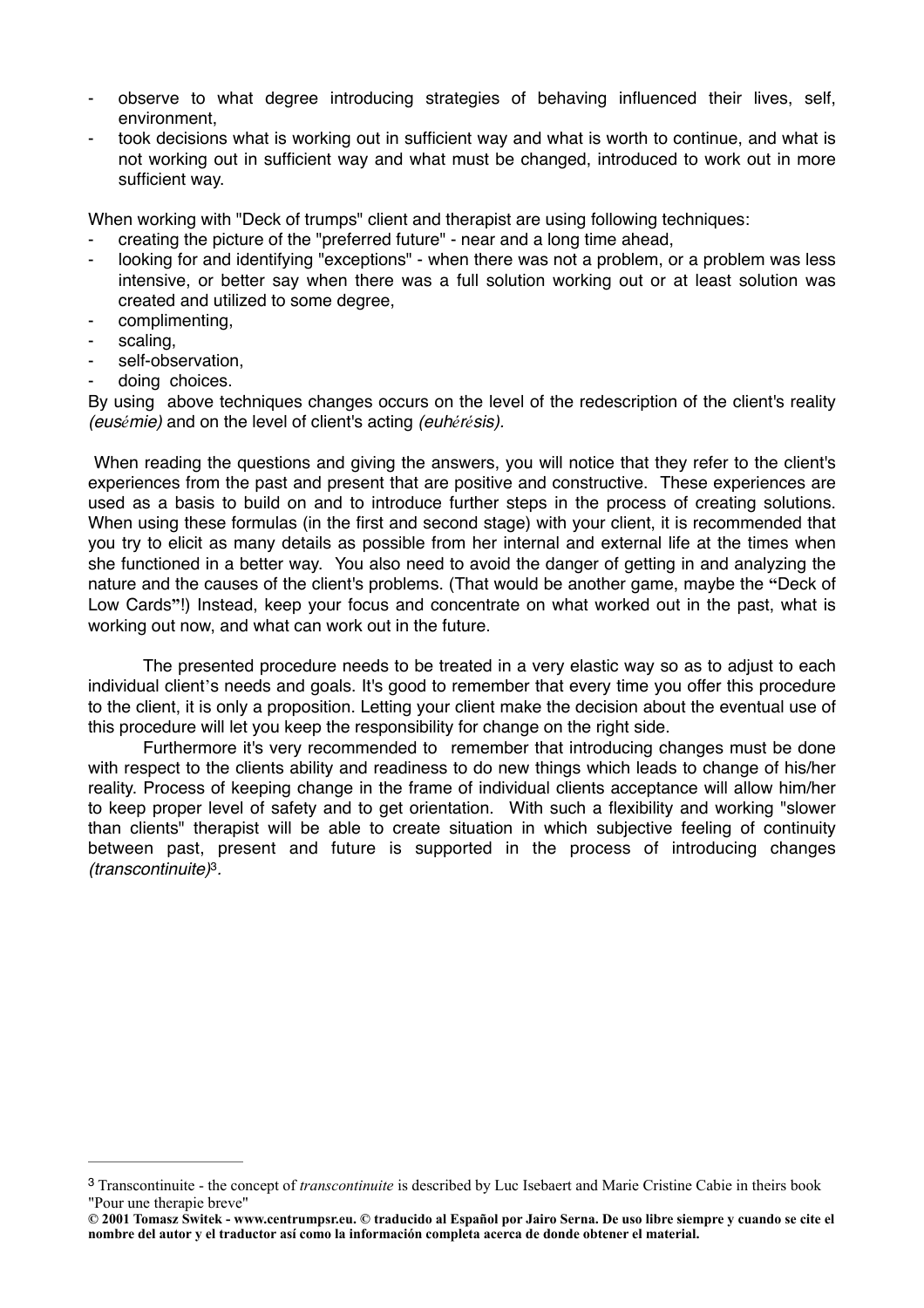- observe to what degree introducing strategies of behaving influenced their lives, self, environment,
- took decisions what is working out in sufficient way and what is worth to continue, and what is not working out in sufficient way and what must be changed, introduced to work out in more sufficient way.

When working with "Deck of trumps" client and therapist are using following techniques:

- creating the picture of the "preferred future" near and a long time ahead,
- looking for and identifying "exceptions" when there was not a problem, or a problem was less intensive, or better say when there was a full solution working out or at least solution was created and utilized to some degree,
- complimenting.
- scaling,
- self-observation,
- doing choices.

By using above techniques changes occurs on the level of the redescription of the client's reality *(eusémie)* and on the level of client's acting *(euhérésis).*

When reading the questions and giving the answers, you will notice that they refer to the client's experiences from the past and present that are positive and constructive. These experiences are used as a basis to build on and to introduce further steps in the process of creating solutions. When using these formulas (in the first and second stage) with your client, it is recommended that you try to elicit as many details as possible from her internal and external life at the times when she functioned in a better way. You also need to avoid the danger of getting in and analyzing the nature and the causes of the client's problems. (That would be another game, maybe the **"**Deck of Low Cards**"**!) Instead, keep your focus and concentrate on what worked out in the past, what is working out now, and what can work out in the future.

The presented procedure needs to be treated in a very elastic way so as to adjust to each individual client's needs and goals. It's good to remember that every time you offer this procedure to the client, it is only a proposition. Letting your client make the decision about the eventual use of this procedure will let you keep the responsibility for change on the right side.

Furthermore it's very recommended to remember that introducing changes must be done with respect to the clients ability and readiness to do new things which leads to change of his/her reality. Process of keeping change in the frame of individual clients acceptance will allow him/her to keep proper level of safety and to get orientation. With such a flexibility and working "slower than clients" therapist will be able to create situation in which subjective feeling of continuity between past, present and future is supported in the process of introducing changes *(transcontinuite)*<sup>3</sup>.

Transcontinuite - the concept of *transcontinuite* is described by Luc Isebaert and Marie Cristine Cabie in theirs book 3 "Pour une therapie breve"

**<sup>© 2001</sup> Tomasz Switek - [www.centrumpsr.eu](http://www.centrumpsr.eu). © traducido al Español por Jairo Serna. De uso libre siempre y cuando se cite el nombre del autor y el traductor así como la información completa acerca de donde obtener el material.**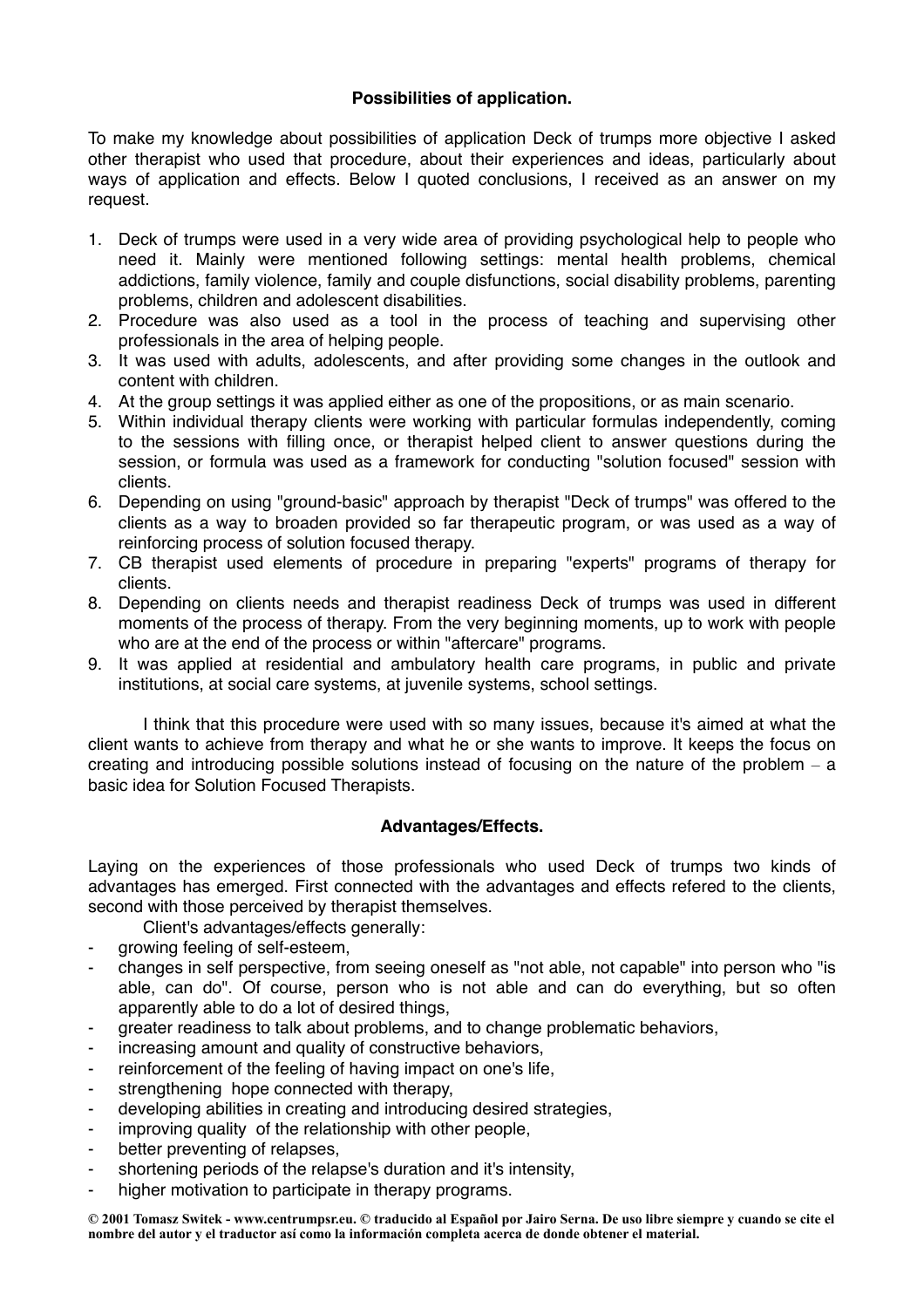# **Possibilities of application.**

To make my knowledge about possibilities of application Deck of trumps more objective I asked other therapist who used that procedure, about their experiences and ideas, particularly about ways of application and effects. Below I quoted conclusions, I received as an answer on my request.

- 1. Deck of trumps were used in a very wide area of providing psychological help to people who need it. Mainly were mentioned following settings: mental health problems, chemical addictions, family violence, family and couple disfunctions, social disability problems, parenting problems, children and adolescent disabilities.
- 2. Procedure was also used as a tool in the process of teaching and supervising other professionals in the area of helping people.
- 3. It was used with adults, adolescents, and after providing some changes in the outlook and content with children.
- 4. At the group settings it was applied either as one of the propositions, or as main scenario.
- 5. Within individual therapy clients were working with particular formulas independently, coming to the sessions with filling once, or therapist helped client to answer questions during the session, or formula was used as a framework for conducting "solution focused" session with clients.
- 6. Depending on using "ground-basic" approach by therapist "Deck of trumps" was offered to the clients as a way to broaden provided so far therapeutic program, or was used as a way of reinforcing process of solution focused therapy.
- 7. CB therapist used elements of procedure in preparing "experts" programs of therapy for clients.
- 8. Depending on clients needs and therapist readiness Deck of trumps was used in different moments of the process of therapy. From the very beginning moments, up to work with people who are at the end of the process or within "aftercare" programs.
- 9. It was applied at residential and ambulatory health care programs, in public and private institutions, at social care systems, at juvenile systems, school settings.

I think that this procedure were used with so many issues, because it's aimed at what the client wants to achieve from therapy and what he or she wants to improve. It keeps the focus on creating and introducing possible solutions instead of focusing on the nature of the problem  $-$  a basic idea for Solution Focused Therapists.

## **Advantages/Effects.**

Laying on the experiences of those professionals who used Deck of trumps two kinds of advantages has emerged. First connected with the advantages and effects refered to the clients, second with those perceived by therapist themselves.

- Client's advantages/effects generally:
- arowing feeling of self-esteem.
- changes in self perspective, from seeing oneself as "not able, not capable" into person who "is able, can do". Of course, person who is not able and can do everything, but so often apparently able to do a lot of desired things,
- greater readiness to talk about problems, and to change problematic behaviors,
- increasing amount and quality of constructive behaviors,
- reinforcement of the feeling of having impact on one's life,
- strengthening hope connected with therapy,
- developing abilities in creating and introducing desired strategies,
- improving quality of the relationship with other people,
- better preventing of relapses,
- shortening periods of the relapse's duration and it's intensity,
- higher motivation to participate in therapy programs.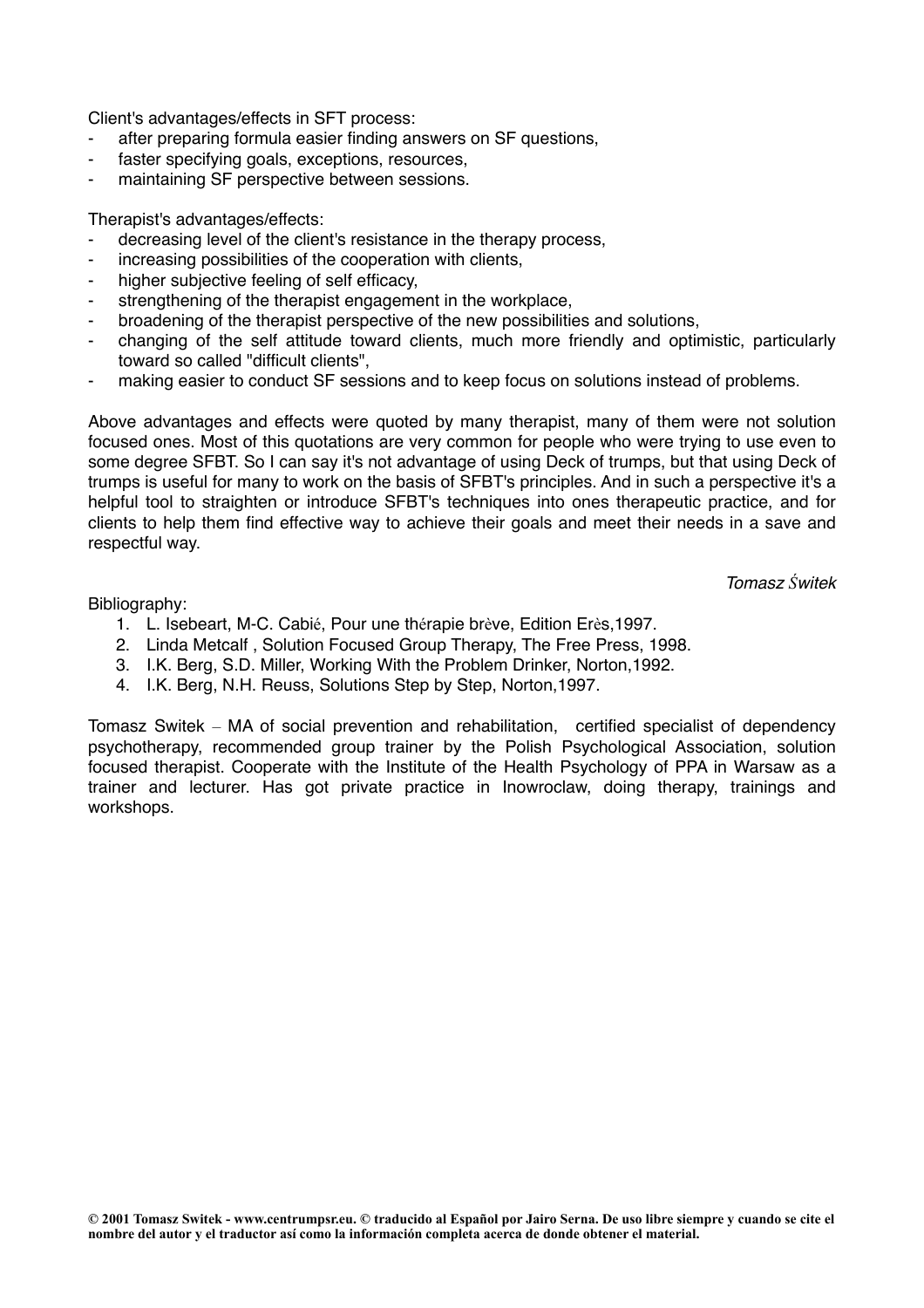Client's advantages/effects in SFT process:

- after preparing formula easier finding answers on SF questions,
- faster specifying goals, exceptions, resources,
- maintaining SF perspective between sessions.

Therapist's advantages/effects:

- decreasing level of the client's resistance in the therapy process,
- increasing possibilities of the cooperation with clients,
- higher subjective feeling of self efficacy,
- strengthening of the therapist engagement in the workplace.
- broadening of the therapist perspective of the new possibilities and solutions,
- changing of the self attitude toward clients, much more friendly and optimistic, particularly toward so called "difficult clients",
- making easier to conduct SF sessions and to keep focus on solutions instead of problems.

Above advantages and effects were quoted by many therapist, many of them were not solution focused ones. Most of this quotations are very common for people who were trying to use even to some degree SFBT. So I can say it's not advantage of using Deck of trumps, but that using Deck of trumps is useful for many to work on the basis of SFBT's principles. And in such a perspective it's a helpful tool to straighten or introduce SFBT's techniques into ones therapeutic practice, and for clients to help them find effective way to achieve their goals and meet their needs in a save and respectful way.

*Tomasz Świtek*

Bibliography:

- 1. L. Isebeart, M-C. Cabié, Pour une thérapie brève, Edition Erès,1997.
- 2. Linda Metcalf , Solution Focused Group Therapy, The Free Press, 1998.
- 3. I.K. Berg, S.D. Miller, Working With the Problem Drinker, Norton,1992.
- 4. I.K. Berg, N.H. Reuss, Solutions Step by Step, Norton,1997.

Tomasz Switek – MA of social prevention and rehabilitation, certified specialist of dependency psychotherapy, recommended group trainer by the Polish Psychological Association, solution focused therapist. Cooperate with the Institute of the Health Psychology of PPA in Warsaw as a trainer and lecturer. Has got private practice in Inowroclaw, doing therapy, trainings and workshops.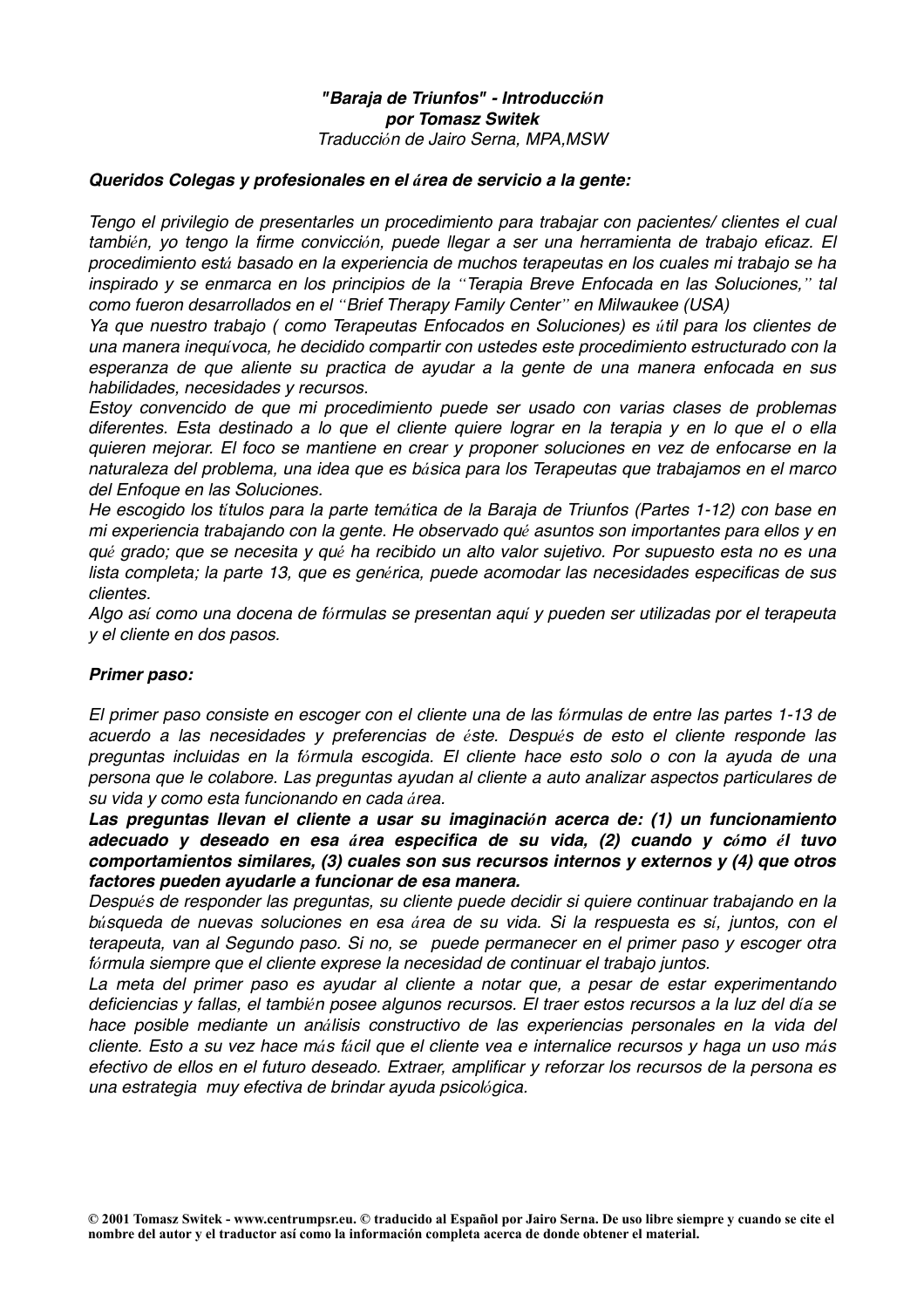## *"Baraja de Triunfos" - Introducción por Tomasz Switek Traducción de Jairo Serna, MPA,MSW*

## *Queridos Colegas y profesionales en el área de servicio a la gente:*

*Tengo el privilegio de presentarles un procedimiento para trabajar con pacientes/ clientes el cual también, yo tengo la firme convicción, puede llegar a ser una herramienta de trabajo eficaz. El procedimiento está basado en la experiencia de muchos terapeutas en los cuales mi trabajo se ha inspirado y se enmarca en los principios de la "Terapia Breve Enfocada en las Soluciones," tal como fueron desarrollados en el "Brief Therapy Family Center" en Milwaukee (USA)*

*Ya que nuestro trabajo ( como Terapeutas Enfocados en Soluciones) es útil para los clientes de una manera inequívoca, he decidido compartir con ustedes este procedimiento estructurado con la esperanza de que aliente su practica de ayudar a la gente de una manera enfocada en sus habilidades, necesidades y recursos.*

*Estoy convencido de que mi procedimiento puede ser usado con varias clases de problemas diferentes. Esta destinado a lo que el cliente quiere lograr en la terapia y en lo que el o ella quieren mejorar. El foco se mantiene en crear y proponer soluciones en vez de enfocarse en la naturaleza del problema, una idea que es básica para los Terapeutas que trabajamos en el marco del Enfoque en las Soluciones.*

*He escogido los títulos para la parte temática de la Baraja de Triunfos (Partes 1-12) con base en mi experiencia trabajando con la gente. He observado qué asuntos son importantes para ellos y en qué grado; que se necesita y qué ha recibido un alto valor sujetivo. Por supuesto esta no es una lista completa; la parte 13, que es genérica, puede acomodar las necesidades especificas de sus clientes.*

*Algo así como una docena de fórmulas se presentan aquí y pueden ser utilizadas por el terapeuta y el cliente en dos pasos.*

#### *Primer paso:*

*El primer paso consiste en escoger con el cliente una de las fórmulas de entre las partes 1-13 de acuerdo a las necesidades y preferencias de éste. Después de esto el cliente responde las preguntas incluidas en la fórmula escogida. El cliente hace esto solo o con la ayuda de una persona que le colabore. Las preguntas ayudan al cliente a auto analizar aspectos particulares de su vida y como esta funcionando en cada área.*

*Las preguntas llevan el cliente a usar su imaginación acerca de: (1) un funcionamiento adecuado y deseado en esa área especifica de su vida, (2) cuando y cómo él tuvo comportamientos similares, (3) cuales son sus recursos internos y externos y (4) que otros factores pueden ayudarle a funcionar de esa manera.*

*Después de responder las preguntas, su cliente puede decidir si quiere continuar trabajando en la búsqueda de nuevas soluciones en esa área de su vida. Si la respuesta es sí, juntos, con el terapeuta, van al Segundo paso. Si no, se puede permanecer en el primer paso y escoger otra fórmula siempre que el cliente exprese la necesidad de continuar el trabajo juntos.* 

*La meta del primer paso es ayudar al cliente a notar que, a pesar de estar experimentando deficiencias y fallas, el también posee algunos recursos. El traer estos recursos a la luz del día se hace posible mediante un análisis constructivo de las experiencias personales en la vida del cliente. Esto a su vez hace más fácil que el cliente vea e internalice recursos y haga un uso más efectivo de ellos en el futuro deseado. Extraer, amplificar y reforzar los recursos de la persona es una estrategia muy efectiva de brindar ayuda psicológica.*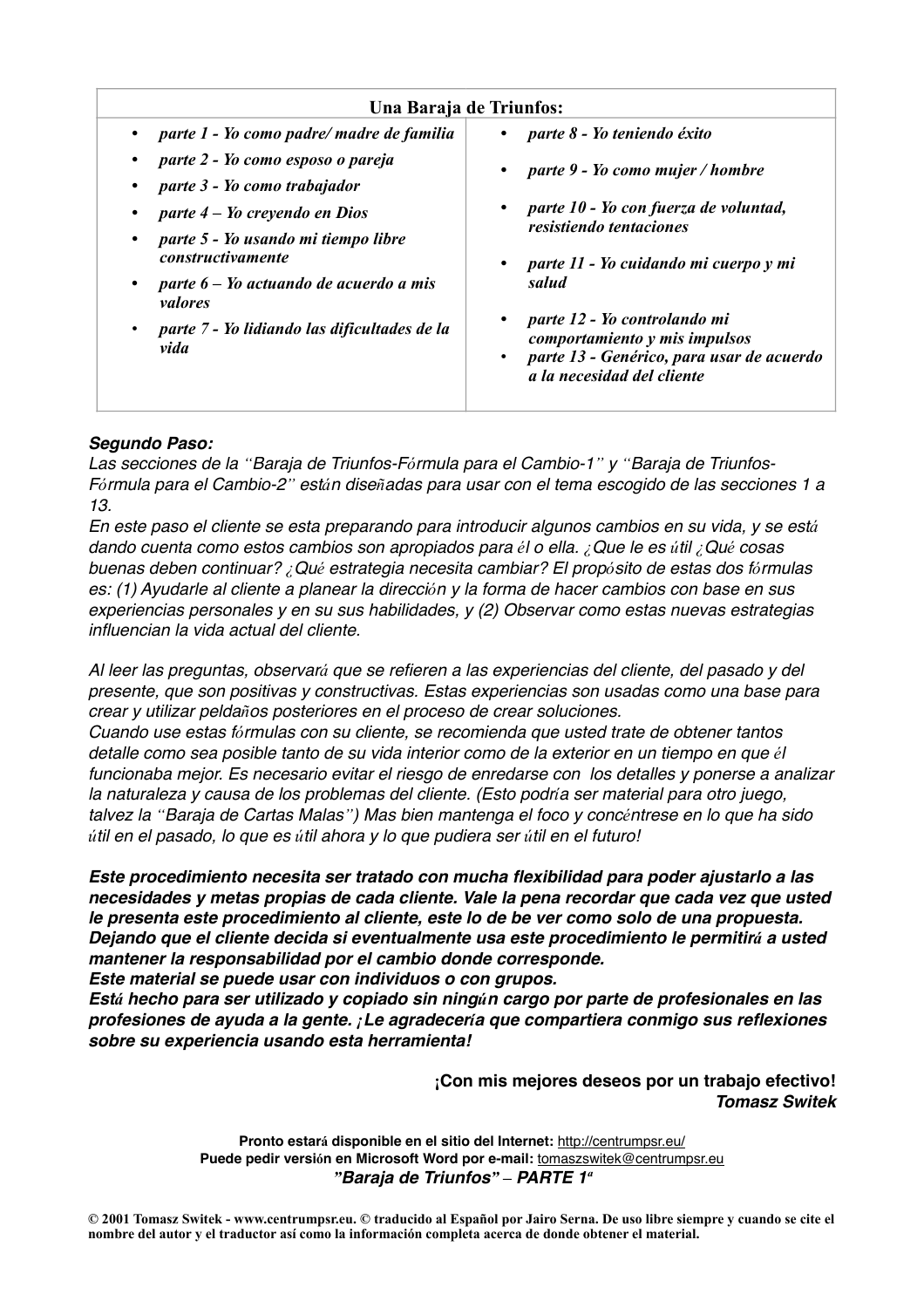|                                                                                                                                                                                                                                                                                                                                 | Una Baraja de Triunfos:                                                                                                                                                                                                                                                                                                                                                         |
|---------------------------------------------------------------------------------------------------------------------------------------------------------------------------------------------------------------------------------------------------------------------------------------------------------------------------------|---------------------------------------------------------------------------------------------------------------------------------------------------------------------------------------------------------------------------------------------------------------------------------------------------------------------------------------------------------------------------------|
| parte 1 - Yo como padre/ madre de familia<br>parte 2 - Yo como esposo o pareja<br>parte 3 - Yo como trabajador<br>parte 4 – Yo creyendo en Dios<br>parte 5 - Yo usando mi tiempo libre<br><i>constructivamente</i><br>parte 6 – Yo actuando de acuerdo a mis<br>valores<br>parte 7 - Yo lidiando las dificultades de la<br>vida | <i>parte 8 - Yo teniendo éxito</i><br>$\bullet$<br>parte 9 - Yo como mujer / hombre<br>parte 10 - Yo con fuerza de voluntad,<br>resistiendo tentaciones<br>parte 11 - Yo cuidando mi cuerpo y mi<br>$\bullet$<br>salud<br>parte 12 - Yo controlando mi<br>comportamiento y mis impulsos<br>parte 13 - Genérico, para usar de acuerdo<br>$\bullet$<br>a la necesidad del cliente |

# *Segundo Paso:*

*Las secciones de la "Baraja de Triunfos-Fórmula para el Cambio-1" y "Baraja de Triunfos-Fórmula para el Cambio-2" están diseñadas para usar con el tema escogido de las secciones 1 a 13.*

*En este paso el cliente se esta preparando para introducir algunos cambios en su vida, y se está dando cuenta como estos cambios son apropiados para él o ella. ¿Que le es útil ¿Qué cosas buenas deben continuar? ¿Qué estrategia necesita cambiar? El propósito de estas dos fórmulas es: (1) Ayudarle al cliente a planear la dirección y la forma de hacer cambios con base en sus experiencias personales y en su sus habilidades, y (2) Observar como estas nuevas estrategias influencian la vida actual del cliente.*

*Al leer las preguntas, observará que se refieren a las experiencias del cliente, del pasado y del presente, que son positivas y constructivas. Estas experiencias son usadas como una base para crear y utilizar peldaños posteriores en el proceso de crear soluciones.*

*Cuando use estas fórmulas con su cliente, se recomienda que usted trate de obtener tantos detalle como sea posible tanto de su vida interior como de la exterior en un tiempo en que él funcionaba mejor. Es necesario evitar el riesgo de enredarse con los detalles y ponerse a analizar la naturaleza y causa de los problemas del cliente. (Esto podría ser material para otro juego, talvez la "Baraja de Cartas Malas") Mas bien mantenga el foco y concéntrese en lo que ha sido útil en el pasado, lo que es útil ahora y lo que pudiera ser útil en el futuro!*

*Este procedimiento necesita ser tratado con mucha flexibilidad para poder ajustarlo a las necesidades y metas propias de cada cliente. Vale la pena recordar que cada vez que usted le presenta este procedimiento al cliente, este lo de be ver como solo de una propuesta. Dejando que el cliente decida si eventualmente usa este procedimiento le permitirá a usted mantener la responsabilidad por el cambio donde corresponde.* 

*Este material se puede usar con individuos o con grupos.*

*Está hecho para ser utilizado y copiado sin ningún cargo por parte de profesionales en las profesiones de ayuda a la gente. ¡Le agradecería que compartiera conmigo sus reflexiones sobre su experiencia usando esta herramienta!*

> **¡Con mis mejores deseos por un trabajo efectivo!** *Tomasz Switek*

**Pronto estará disponible en el sitio del Internet:** <http://centrumpsr.eu/> **Puede pedir versión en Microsoft Word por e-mail:** [tomaszswitek@centrumpsr.eu](mailto:tomaszswitek@centrumpsr.eu?subject=) *"Baraja de Triunfos" – PARTE 1ª*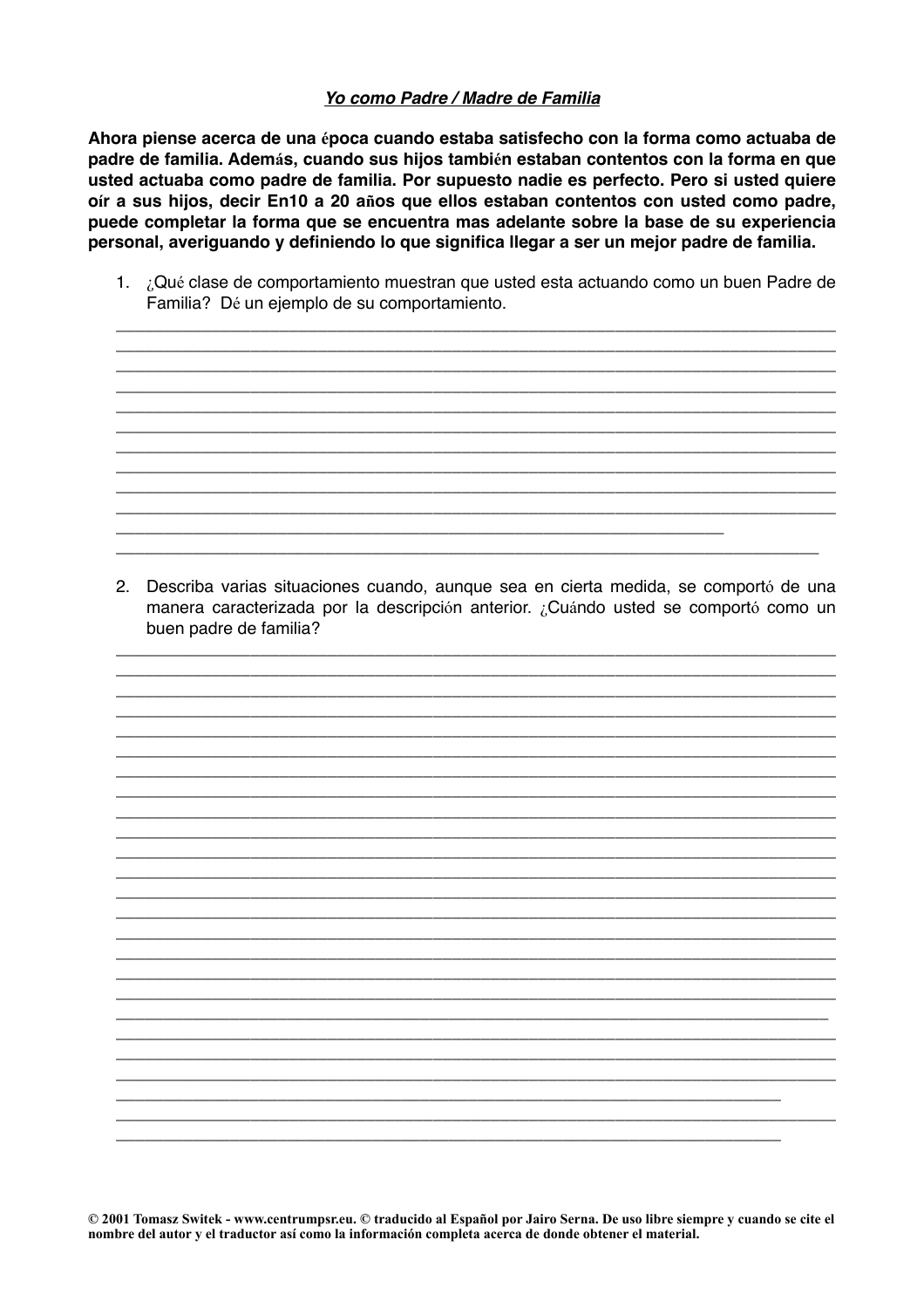# Yo como Padre / Madre de Familia

Ahora piense acerca de una época cuando estaba satisfecho con la forma como actuaba de padre de familia. Además, cuando sus hijos también estaban contentos con la forma en que usted actuaba como padre de familia. Por supuesto nadie es perfecto. Pero si usted quiere oír a sus hijos, decir En10 a 20 años que ellos estaban contentos con usted como padre, puede completar la forma que se encuentra mas adelante sobre la base de su experiencia personal, averiguando y definiendo lo que significa llegar a ser un mejor padre de familia.

1. ¿Qué clase de comportamiento muestran que usted esta actuando como un buen Padre de Familia? Dé un ejemplo de su comportamiento.

2. Describa varias situaciones cuando, aunque sea en cierta medida, se comportó de una manera caracterizada por la descripción anterior. ¿Cuándo usted se comportó como un buen padre de familia?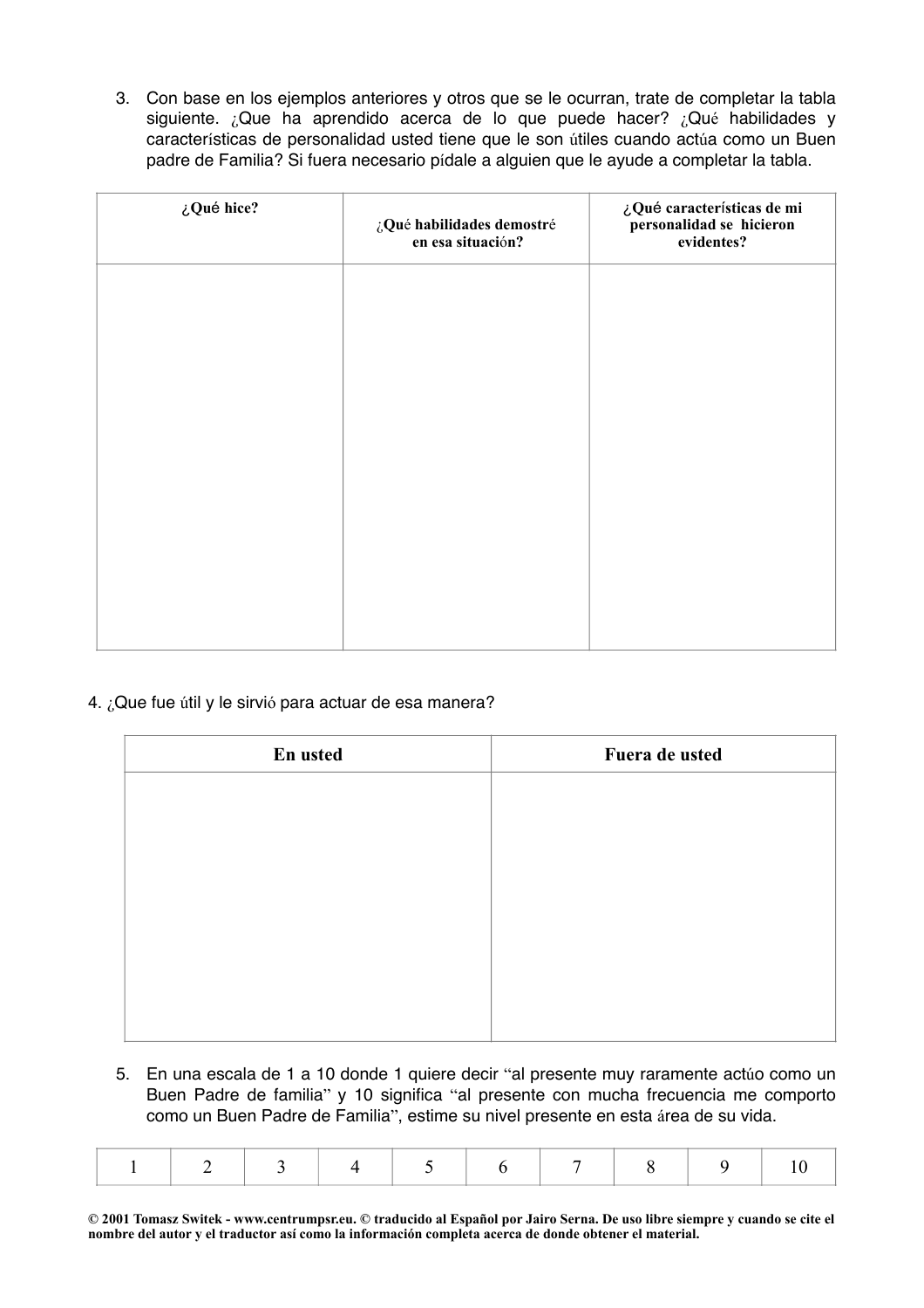3. Con base en los ejemplos anteriores y otros que se le ocurran, trate de completar la tabla siguiente. ¿Que ha aprendido acerca de lo que puede hacer? ¿Qué habilidades y características de personalidad usted tiene que le son útiles cuando actúa como un Buen padre de Familia? Si fuera necesario pídale a alguien que le ayude a completar la tabla.

| ¿Qué hice? | ¿Qué habilidades demostré<br>en esa situación? | ¿Qué características de mi<br>personalidad se hicieron<br>evidentes? |
|------------|------------------------------------------------|----------------------------------------------------------------------|
|            |                                                |                                                                      |
|            |                                                |                                                                      |
|            |                                                |                                                                      |
|            |                                                |                                                                      |
|            |                                                |                                                                      |
|            |                                                |                                                                      |

# 4. ¿Que fue útil y le sirvió para actuar de esa manera?

| En usted | Fuera de usted |
|----------|----------------|
|          |                |
|          |                |
|          |                |
|          |                |
|          |                |
|          |                |
|          |                |
|          |                |

5. En una escala de 1 a 10 donde 1 quiere decir "al presente muy raramente actúo como un Buen Padre de familia" y 10 significa "al presente con mucha frecuencia me comporto como un Buen Padre de Familia", estime su nivel presente en esta área de su vida.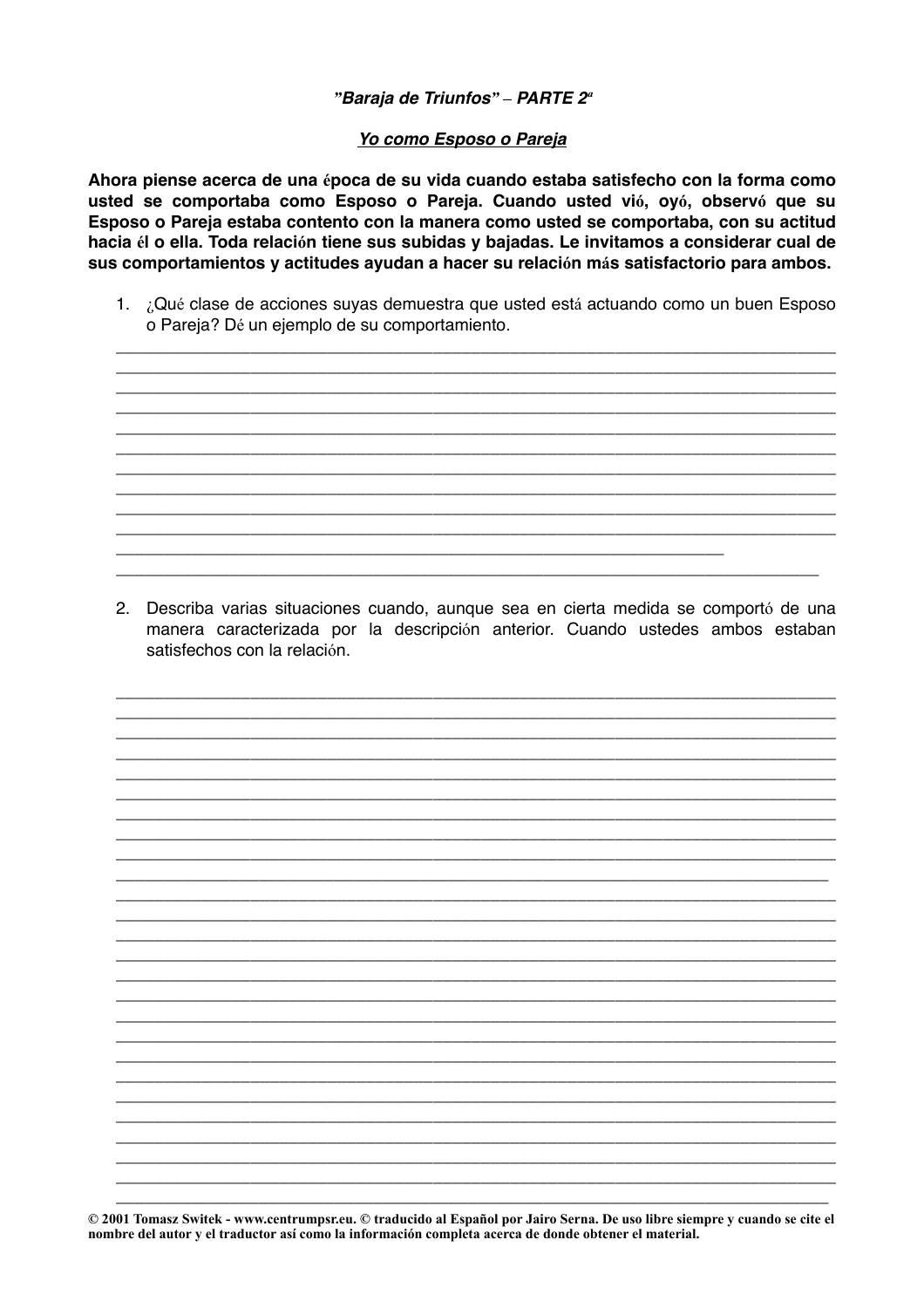## "Baraja de Triunfos" - PARTE 2<sup>a</sup>

#### Yo como Esposo o Pareja

Ahora piense acerca de una época de su vida cuando estaba satisfecho con la forma como usted se comportaba como Esposo o Pareja. Cuando usted vió, oyó, observó que su Esposo o Pareja estaba contento con la manera como usted se comportaba, con su actitud hacia él o ella. Toda relación tiene sus subidas y bajadas. Le invitamos a considerar cual de sus comportamientos y actitudes ayudan a hacer su relación más satisfactorio para ambos.

1. ¿Qué clase de acciones suyas demuestra que usted está actuando como un buen Esposo o Pareja? Dé un ejemplo de su comportamiento.

2. Describa varias situaciones cuando, aunque sea en cierta medida se comportó de una manera caracterizada por la descripción anterior. Cuando ustedes ambos estaban satisfechos con la relación.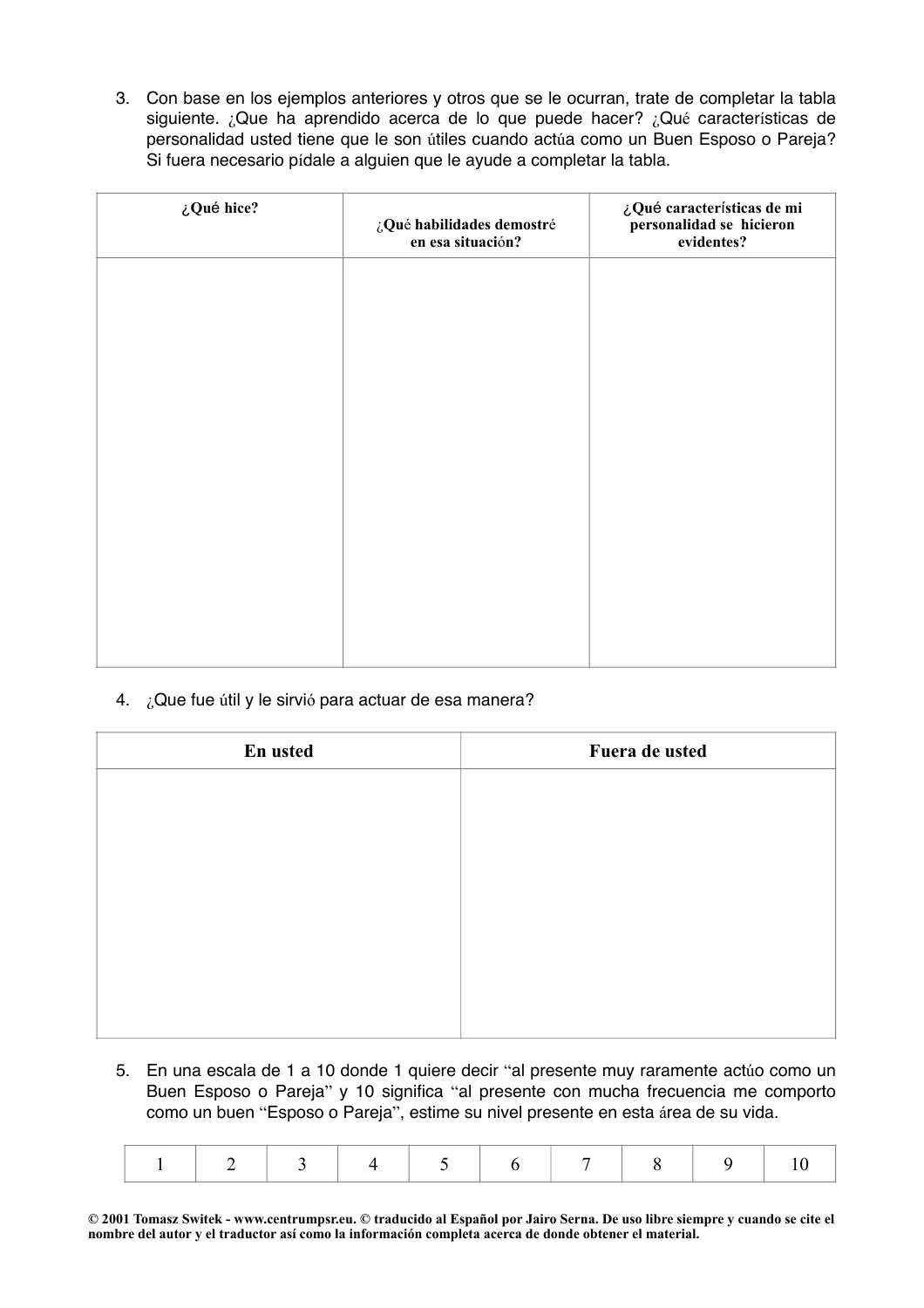3. Con base en los ejemplos anteriores y otros que se le ocurran, trate de completar la tabla siguiente. ¿Que ha aprendido acerca de lo que puede hacer? ¿Qué características de personalidad usted tiene que le son útiles cuando actúa como un Buen Esposo o Pareja? Si fuera necesario pídale a alguien que le ayude a completar la tabla.

| ¿Qué hice? | $\mathop{\downarrow}\nolimits$ Qué habilidades demostré<br>en esa situación? | ¿Qué características de mi<br>personalidad se hicieron<br>evidentes? |
|------------|------------------------------------------------------------------------------|----------------------------------------------------------------------|
|            |                                                                              |                                                                      |
|            |                                                                              |                                                                      |
|            |                                                                              |                                                                      |
|            |                                                                              |                                                                      |
|            |                                                                              |                                                                      |
|            |                                                                              |                                                                      |
|            |                                                                              |                                                                      |

4. ¿Que fue útil y le sirvió para actuar de esa manera?

| En usted | Fuera de usted |
|----------|----------------|
|          |                |
|          |                |
|          |                |
|          |                |
|          |                |
|          |                |
|          |                |
|          |                |

5. En una escala de 1 a 10 donde 1 quiere decir "al presente muy raramente actúo como un Buen Esposo o Pareja" y 10 significa "al presente con mucha frecuencia me comporto como un buen "Esposo o Pareja", estime su nivel presente en esta área de su vida.

|--|--|--|--|--|--|--|--|--|--|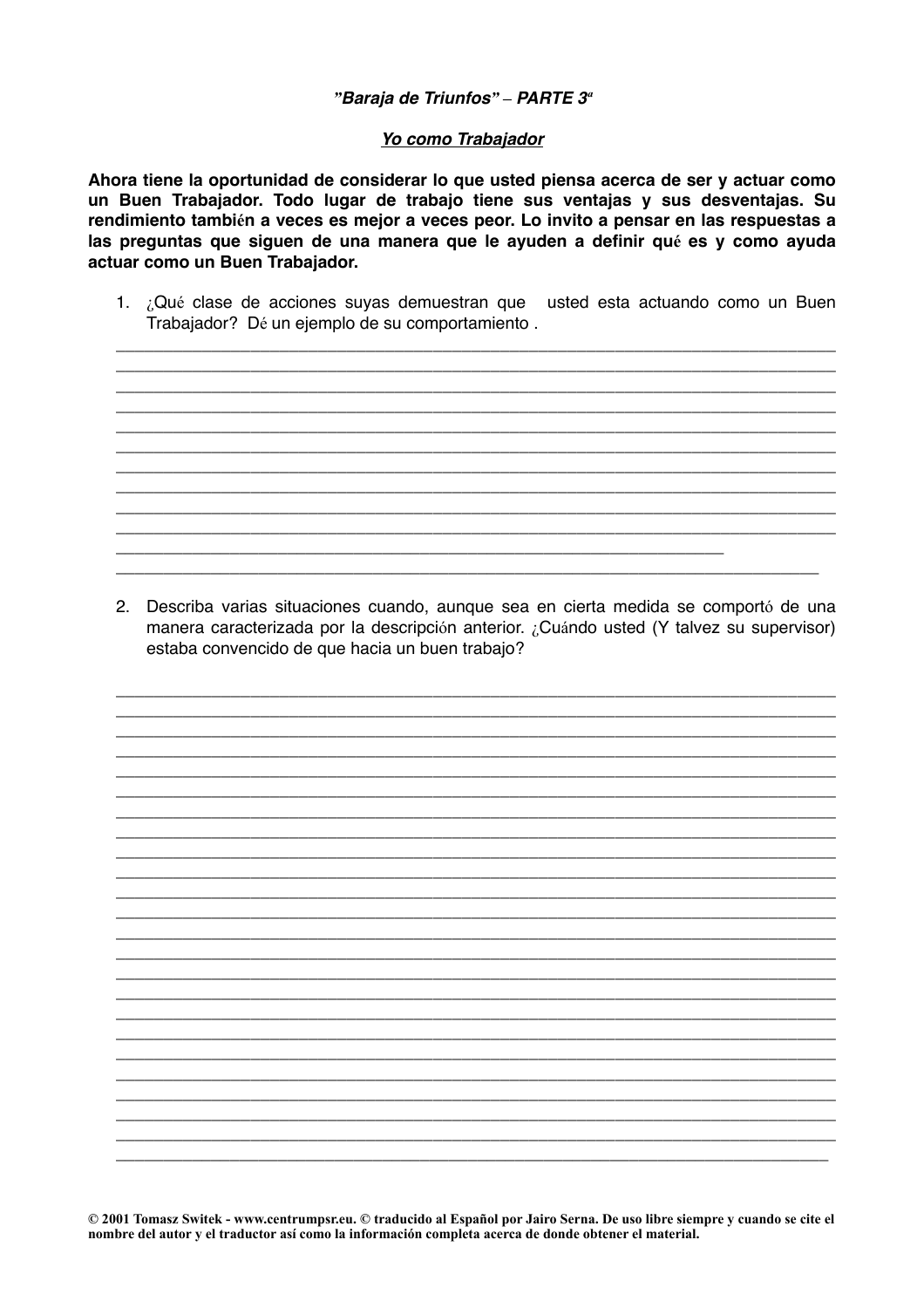#### "Baraja de Triunfos" - PARTE 3<sup>ª</sup>

#### Yo como Trabajador

Ahora tiene la oportunidad de considerar lo que usted piensa acerca de ser y actuar como un Buen Trabajador. Todo lugar de trabajo tiene sus ventajas y sus desventajas. Su rendimiento también a veces es mejor a veces peor. Lo invito a pensar en las respuestas a las preguntas que siguen de una manera que le ayuden a definir qué es y como ayuda actuar como un Buen Trabajador.

1. ¿Qué clase de acciones suyas demuestran que usted esta actuando como un Buen Trabajador? Dé un ejemplo de su comportamiento.

2. Describa varias situaciones cuando, aunque sea en cierta medida se comportó de una manera caracterizada por la descripción anterior. ¿Cuándo usted (Y talvez su supervisor) estaba convencido de que hacia un buen trabajo?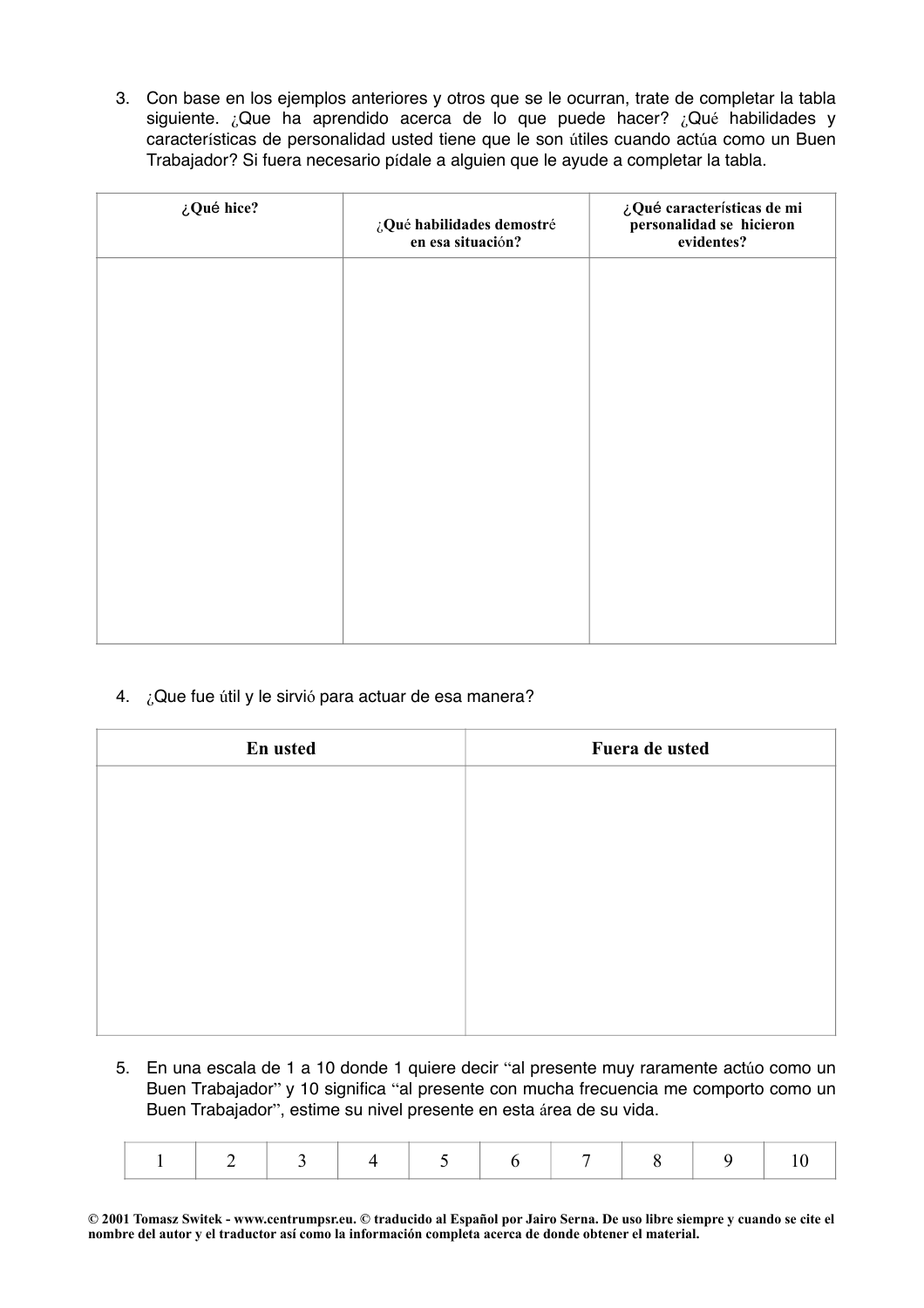3. Con base en los ejemplos anteriores y otros que se le ocurran, trate de completar la tabla siguiente. ¿Que ha aprendido acerca de lo que puede hacer? ¿Qué habilidades y características de personalidad usted tiene que le son útiles cuando actúa como un Buen Trabajador? Si fuera necesario pídale a alguien que le ayude a completar la tabla.

| ¿Qué hice? | ¿Qué habilidades demostré<br>en esa situación? | ¿Qué características de mi<br>personalidad se hicieron<br>evidentes? |
|------------|------------------------------------------------|----------------------------------------------------------------------|
|            |                                                |                                                                      |
|            |                                                |                                                                      |
|            |                                                |                                                                      |
|            |                                                |                                                                      |
|            |                                                |                                                                      |
|            |                                                |                                                                      |

4. ¿Que fue útil y le sirvió para actuar de esa manera?

| En usted | Fuera de usted |
|----------|----------------|
|          |                |
|          |                |
|          |                |
|          |                |
|          |                |
|          |                |
|          |                |
|          |                |

5. En una escala de 1 a 10 donde 1 quiere decir "al presente muy raramente actúo como un Buen Trabajador" y 10 significa "al presente con mucha frecuencia me comporto como un Buen Trabajador", estime su nivel presente en esta área de su vida.

|--|--|--|--|--|--|--|--|--|--|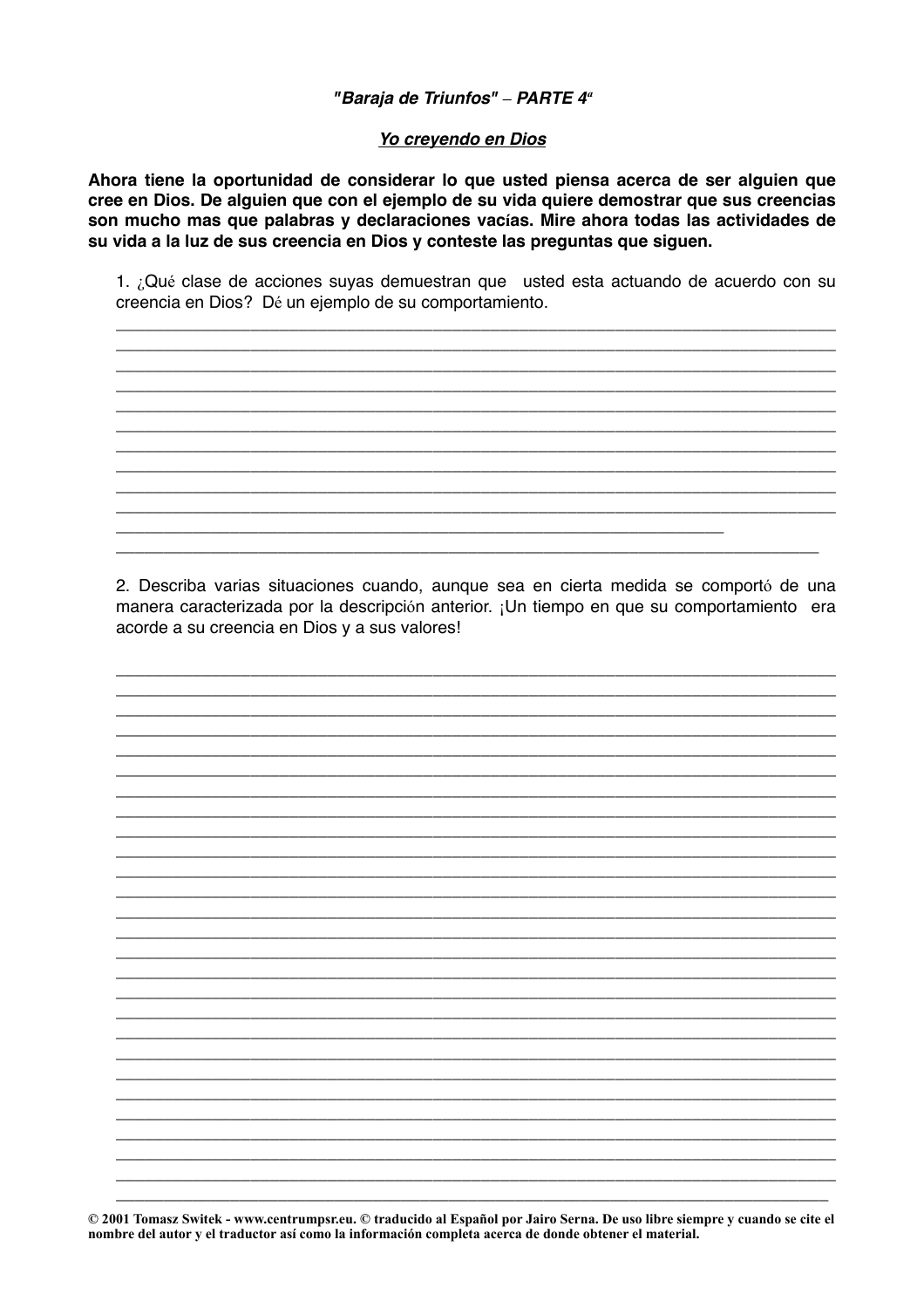#### "Baraja de Triunfos" - PARTE 4<sup>ª</sup>

#### Yo creyendo en Dios

Ahora tiene la oportunidad de considerar lo que usted piensa acerca de ser alguien que cree en Dios. De alguien que con el ejemplo de su vida quiere demostrar que sus creencias son mucho mas que palabras y declaraciones vacías. Mire ahora todas las actividades de su vida a la luz de sus creencia en Dios y conteste las preguntas que siguen.

1. ¿Qué clase de acciones suyas demuestran que usted esta actuando de acuerdo con su creencia en Dios? Dé un ejemplo de su comportamiento.

2. Describa varias situaciones cuando, aunque sea en cierta medida se comportó de una manera caracterizada por la descripción anterior. ¡Un tiempo en que su comportamiento era acorde a su creencia en Dios y a sus valores!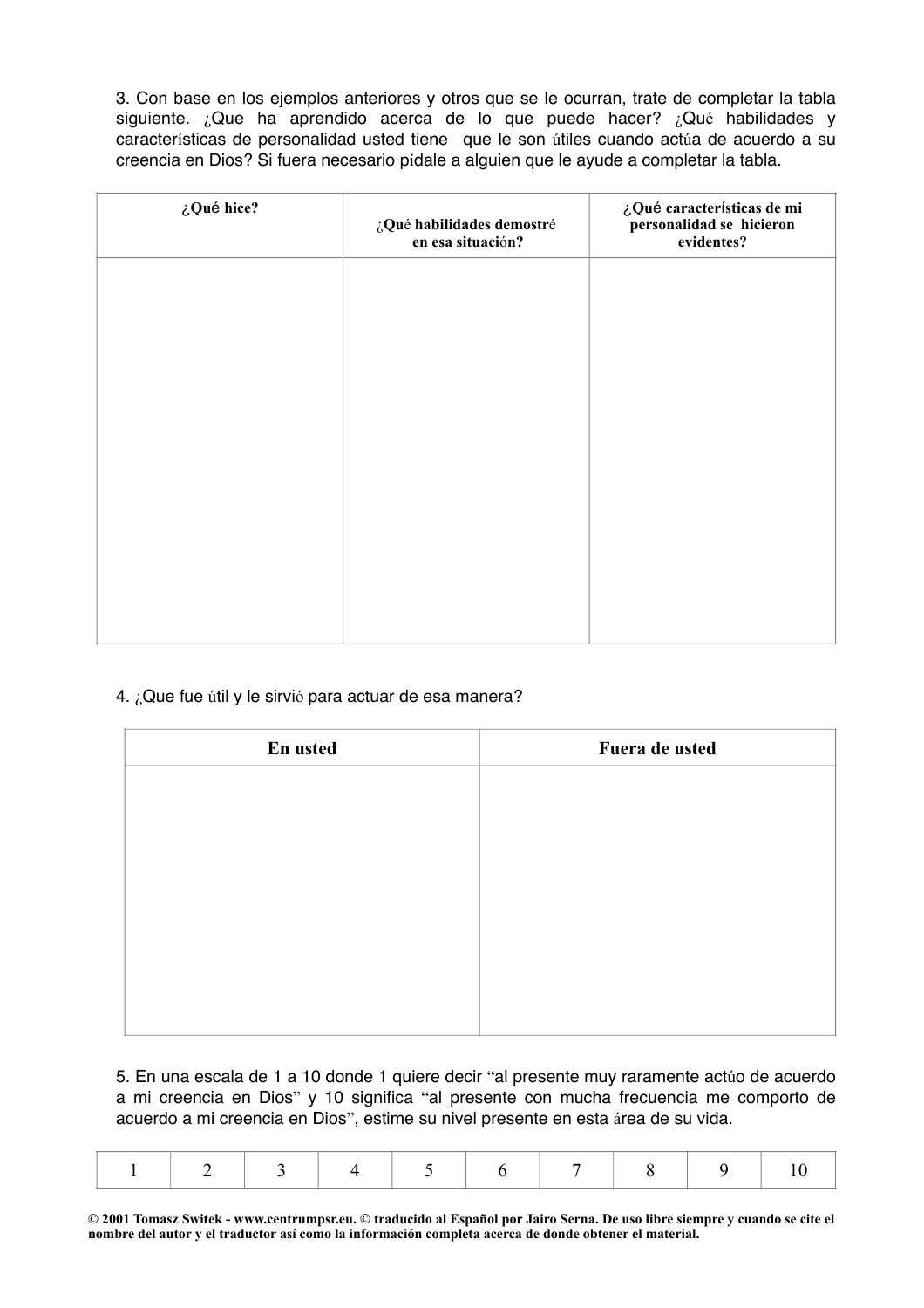3. Con base en los ejemplos anteriores y otros que se le ocurran, trate de completar la tabla siguiente. ¿Que ha aprendido acerca de lo que puede hacer? ¿Qué habilidades y características de personalidad usted tiene que le son útiles cuando actúa de acuerdo a su creencia en Dios? Si fuera necesario pídale a alguien que le ayude a completar la tabla.

| ¿Qué hice? | ¿Qué habilidades demostré<br>en esa situación? | ¿Qué características de mi<br>personalidad se hicieron<br>evidentes? |
|------------|------------------------------------------------|----------------------------------------------------------------------|
|            |                                                |                                                                      |
|            |                                                |                                                                      |
|            |                                                |                                                                      |
|            |                                                |                                                                      |
|            |                                                |                                                                      |
|            |                                                |                                                                      |

## 4. ¿Que fue útil y le sirvió para actuar de esa manera?

| En usted | Fuera de usted |
|----------|----------------|
|          |                |
|          |                |
|          |                |
|          |                |
|          |                |
|          |                |
|          |                |
|          |                |

5. En una escala de 1 a 10 donde 1 quiere decir "al presente muy raramente actúo de acuerdo a mi creencia en Dios" y 10 significa "al presente con mucha frecuencia me comporto de acuerdo a mi creencia en Dios", estime su nivel presente en esta área de su vida.

|--|--|--|--|--|--|--|--|--|--|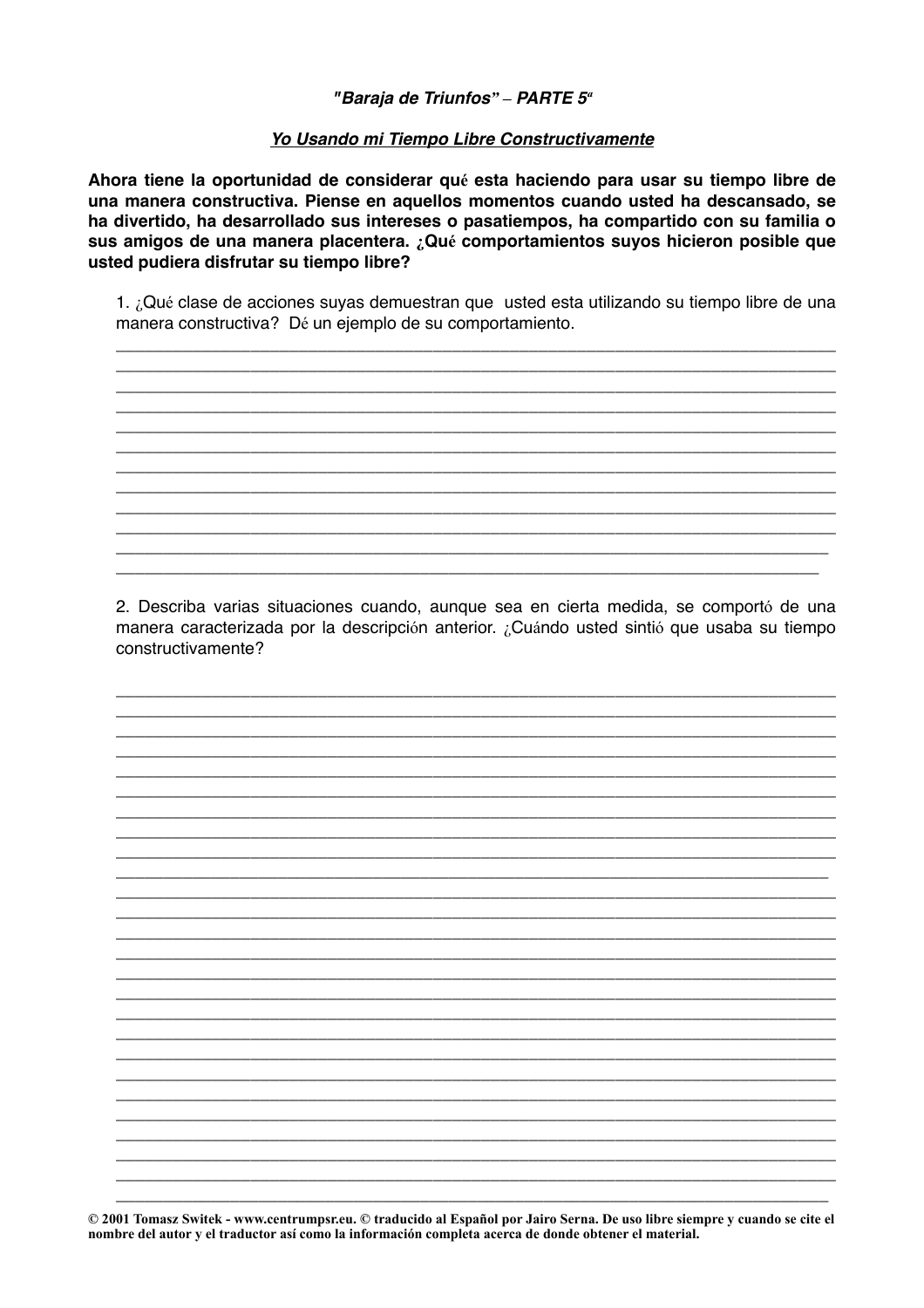## "Baraja de Triunfos" - PARTE 5<sup>a</sup>

## Yo Usando mi Tiempo Libre Constructivamente

Ahora tiene la oportunidad de considerar qué esta haciendo para usar su tiempo libre de una manera constructiva. Piense en aquellos momentos cuando usted ha descansado, se ha divertido, ha desarrollado sus intereses o pasatiempos, ha compartido con su familia o sus amigos de una manera placentera. ¿Qué comportamientos suyos hicieron posible que usted pudiera disfrutar su tiempo libre?

1. ¿Qué clase de acciones suyas demuestran que usted esta utilizando su tiempo libre de una manera constructiva? Dé un ejemplo de su comportamiento.

2. Describa varias situaciones cuando, aunque sea en cierta medida, se comportó de una manera caracterizada por la descripción anterior. ¿Cuándo usted sintió que usaba su tiempo constructivamente?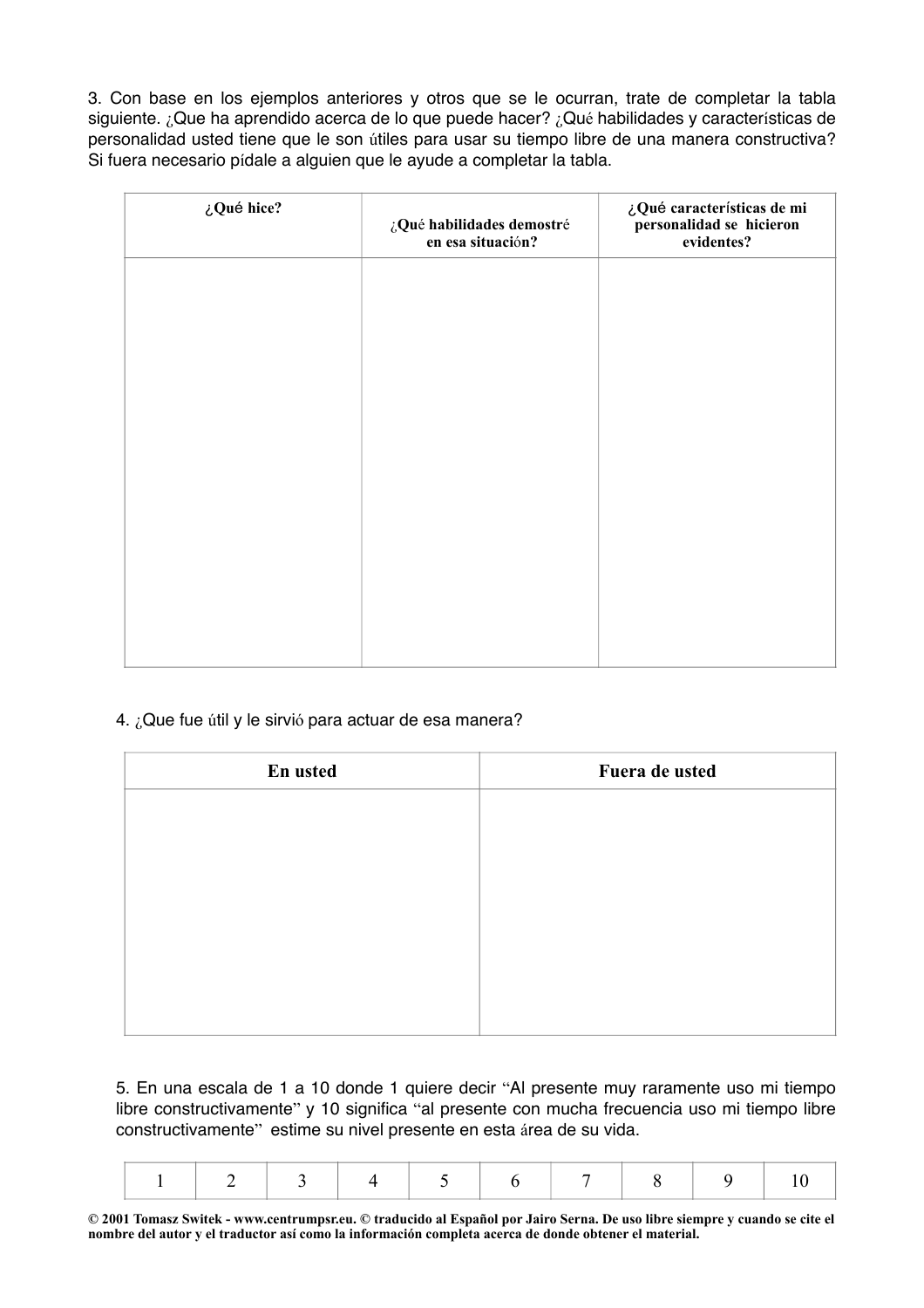3. Con base en los ejemplos anteriores y otros que se le ocurran, trate de completar la tabla siguiente. ¿Que ha aprendido acerca de lo que puede hacer? ¿Qué habilidades y características de personalidad usted tiene que le son útiles para usar su tiempo libre de una manera constructiva? Si fuera necesario pídale a alguien que le ayude a completar la tabla.

| ¿Qué hice? | ¿Qué habilidades demostré<br>en esa situación? | ¿Qué características de mi<br>personalidad se hicieron<br>evidentes? |
|------------|------------------------------------------------|----------------------------------------------------------------------|
|            |                                                |                                                                      |
|            |                                                |                                                                      |
|            |                                                |                                                                      |
|            |                                                |                                                                      |
|            |                                                |                                                                      |
|            |                                                |                                                                      |
|            |                                                |                                                                      |

# 4. ¿Que fue útil y le sirvió para actuar de esa manera?

| En usted | Fuera de usted |
|----------|----------------|
|          |                |
|          |                |
|          |                |
|          |                |
|          |                |
|          |                |
|          |                |

5. En una escala de 1 a 10 donde 1 quiere decir "Al presente muy raramente uso mi tiempo libre constructivamente" y 10 significa "al presente con mucha frecuencia uso mi tiempo libre constructivamente" estime su nivel presente en esta área de su vida.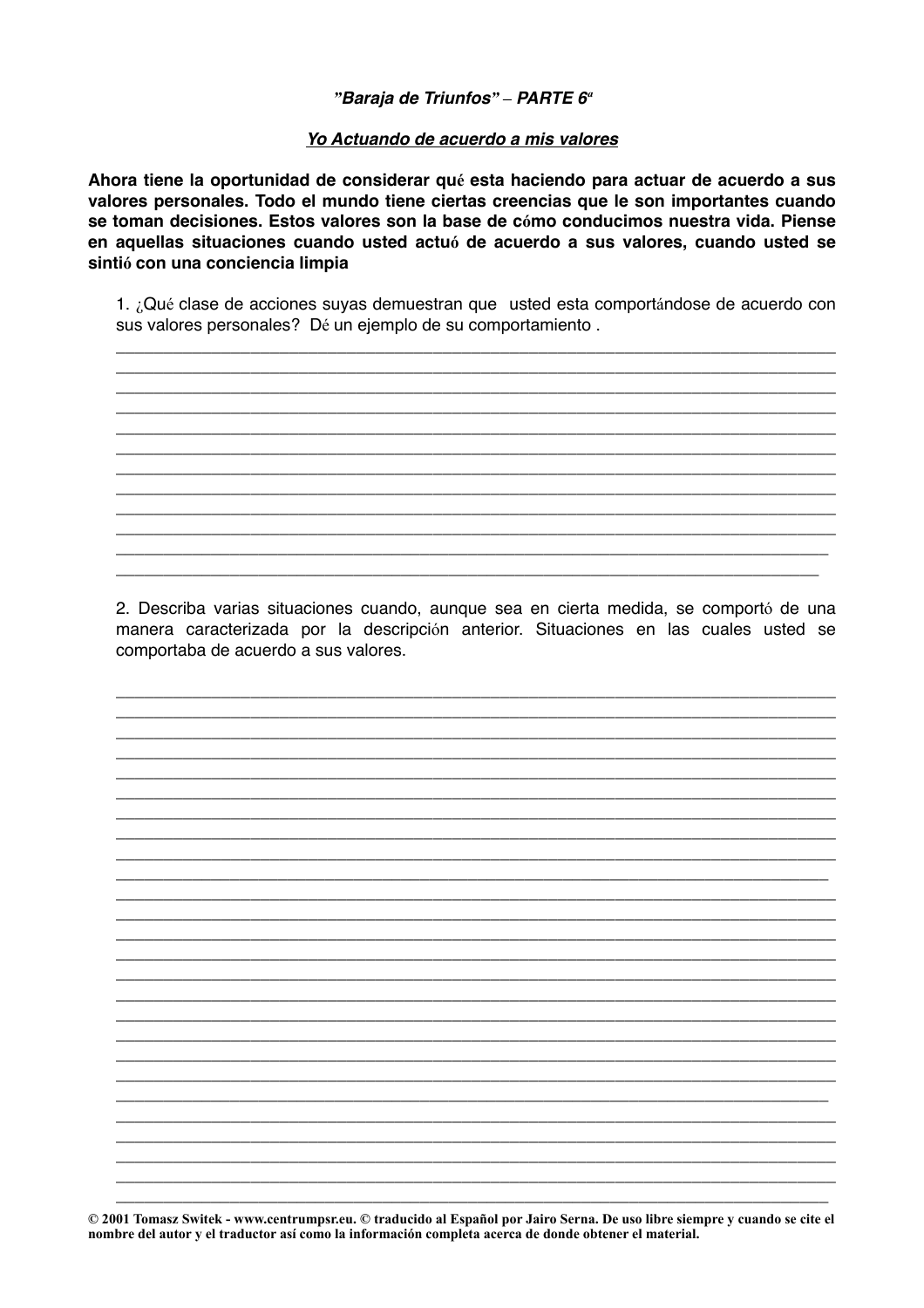## "Baraja de Triunfos" - PARTE  $6^a$

#### Yo Actuando de acuerdo a mis valores

Ahora tiene la oportunidad de considerar qué esta haciendo para actuar de acuerdo a sus valores personales. Todo el mundo tiene ciertas creencias que le son importantes cuando se toman decisiones. Estos valores son la base de cómo conducimos nuestra vida. Piense en aquellas situaciones cuando usted actuó de acuerdo a sus valores, cuando usted se sintió con una conciencia limpia

1. ¿Qué clase de acciones suyas demuestran que usted esta comportándose de acuerdo con sus valores personales? Dé un ejemplo de su comportamiento.

2. Describa varias situaciones cuando, aunque sea en cierta medida, se comportó de una manera caracterizada por la descripción anterior. Situaciones en las cuales usted se comportaba de acuerdo a sus valores.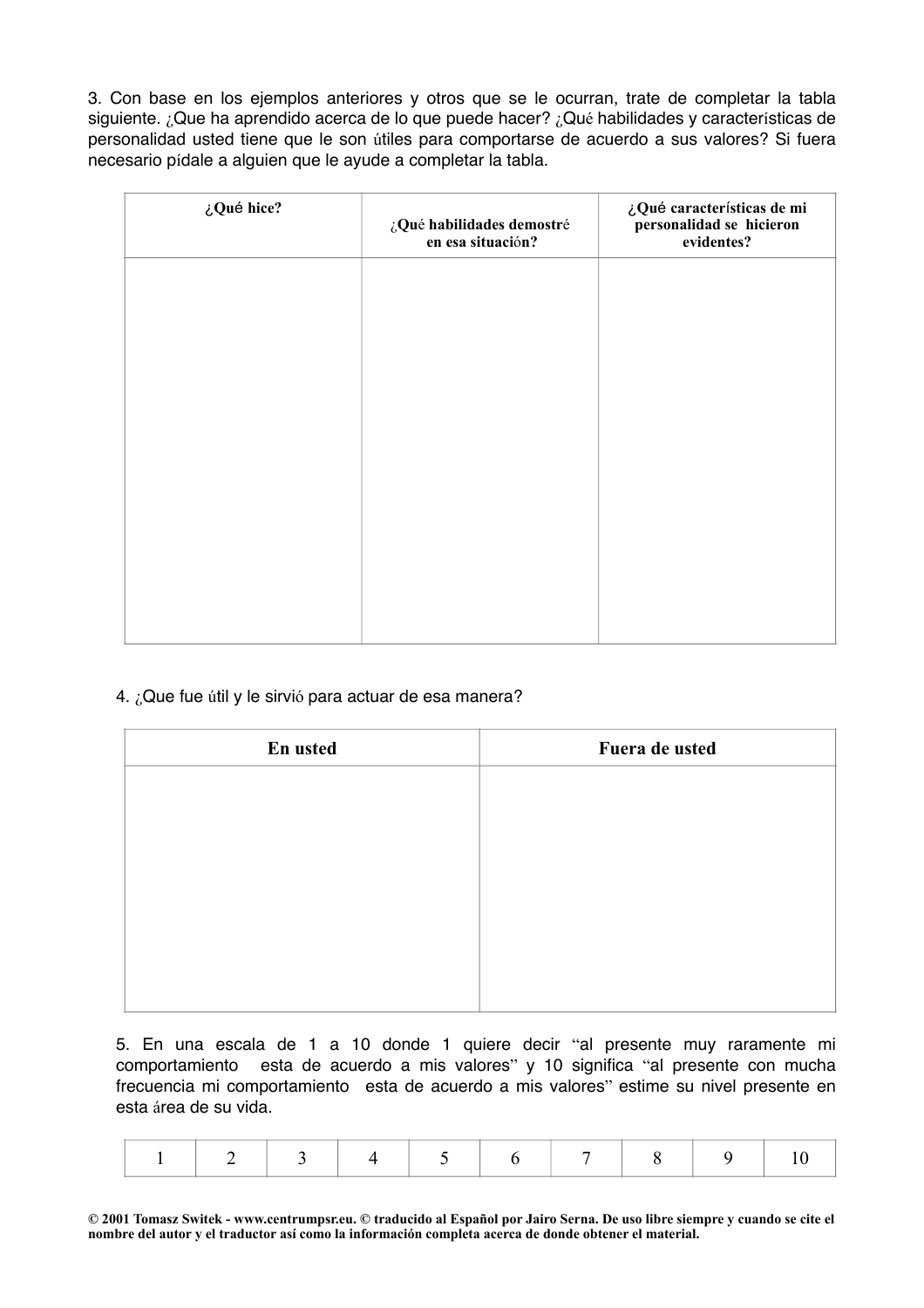3. Con base en los ejemplos anteriores y otros que se le ocurran, trate de completar la tabla siguiente. ¿Que ha aprendido acerca de lo que puede hacer? ¿Qué habilidades y características de personalidad usted tiene que le son útiles para comportarse de acuerdo a sus valores? Si fuera necesario pídale a alguien que le ayude a completar la tabla.

| ¿Qué hice? | ¿Qué habilidades demostré<br>en esa situación? | ¿Qué características de mi<br>personalidad se hicieron<br>evidentes? |
|------------|------------------------------------------------|----------------------------------------------------------------------|
|            |                                                |                                                                      |
|            |                                                |                                                                      |
|            |                                                |                                                                      |
|            |                                                |                                                                      |
|            |                                                |                                                                      |
|            |                                                |                                                                      |

## 4. ¿Que fue útil y le sirvió para actuar de esa manera?

| En usted | Fuera de usted |
|----------|----------------|
|          |                |
|          |                |
|          |                |
|          |                |
|          |                |
|          |                |
|          |                |

5. En una escala de 1 a 10 donde 1 quiere decir "al presente muy raramente mi comportamiento esta de acuerdo a mis valores" y 10 significa "al presente con mucha frecuencia mi comportamiento esta de acuerdo a mis valores" estime su nivel presente en esta área de su vida.

|--|--|--|--|--|--|--|--|--|--|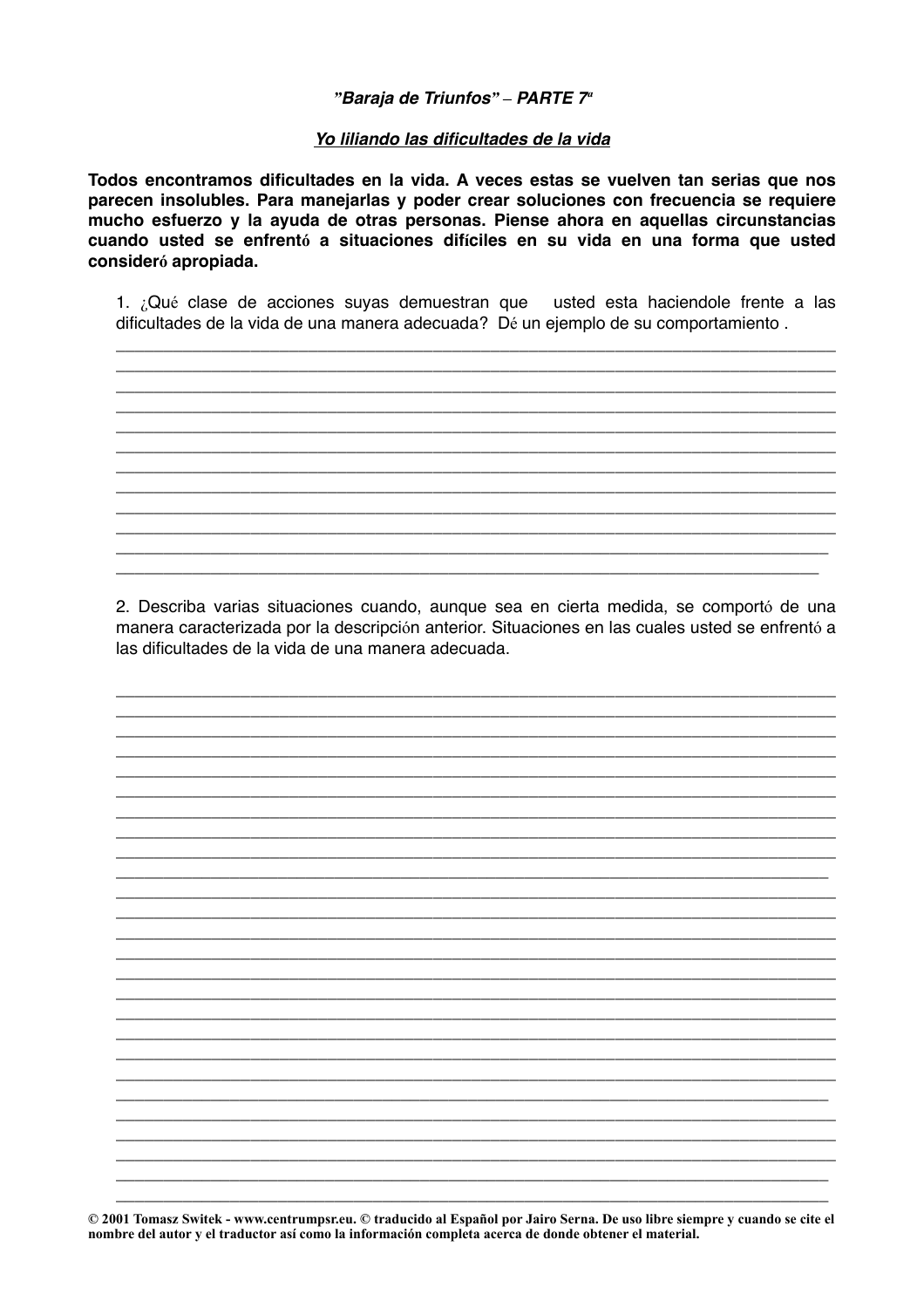#### "Baraja de Triunfos" - PARTE 7<sup>a</sup>

#### Yo liliando las dificultades de la vida

Todos encontramos dificultades en la vida. A veces estas se vuelven tan serias que nos parecen insolubles. Para manejarlas y poder crear soluciones con frecuencia se requiere mucho esfuerzo y la ayuda de otras personas. Piense ahora en aquellas circunstancias cuando usted se enfrentó a situaciones difíciles en su vida en una forma que usted consideró apropiada.

1. ¿Qué clase de acciones suyas demuestran que usted esta haciendole frente a las dificultades de la vida de una manera adecuada? Dé un ejemplo de su comportamiento.

2. Describa varias situaciones cuando, aunque sea en cierta medida, se comportó de una manera caracterizada por la descripción anterior. Situaciones en las cuales usted se enfrentó a las dificultades de la vida de una manera adecuada.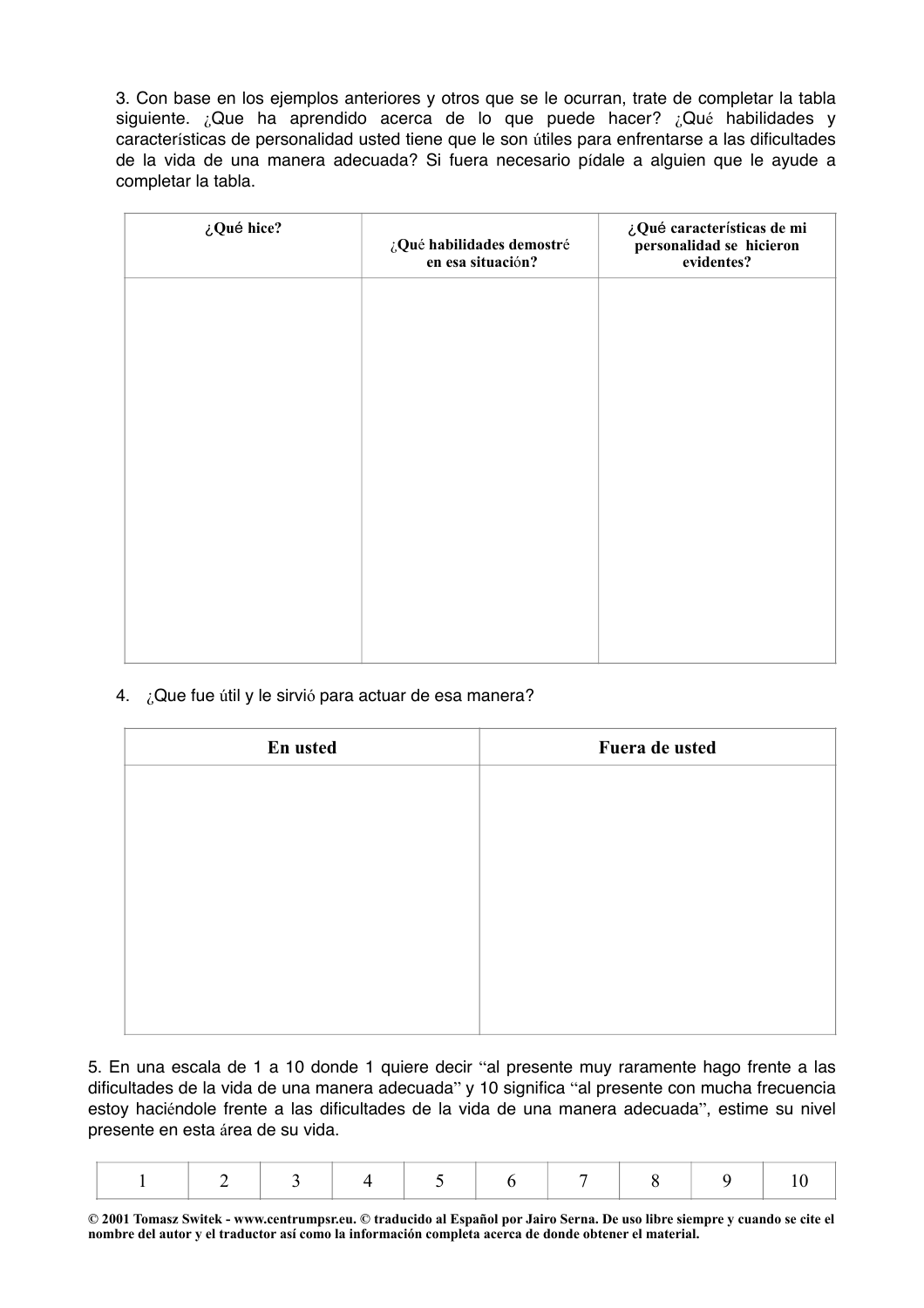3. Con base en los ejemplos anteriores y otros que se le ocurran, trate de completar la tabla siguiente. ¿Que ha aprendido acerca de lo que puede hacer? ¿Qué habilidades y características de personalidad usted tiene que le son útiles para enfrentarse a las dificultades de la vida de una manera adecuada? Si fuera necesario pídale a alguien que le ayude a completar la tabla.

| ¿Qué hice? | ¿Qué habilidades demostré<br>en esa situación? | ¿Qué características de mi<br>personalidad se hicieron<br>evidentes? |
|------------|------------------------------------------------|----------------------------------------------------------------------|
|            |                                                |                                                                      |
|            |                                                |                                                                      |
|            |                                                |                                                                      |
|            |                                                |                                                                      |
|            |                                                |                                                                      |
|            |                                                |                                                                      |

## 4. ¿Que fue útil y le sirvió para actuar de esa manera?

| En usted | Fuera de usted |
|----------|----------------|
|          |                |
|          |                |
|          |                |
|          |                |
|          |                |
|          |                |
|          |                |
|          |                |

5. En una escala de 1 a 10 donde 1 quiere decir "al presente muy raramente hago frente a las dificultades de la vida de una manera adecuada" y 10 significa "al presente con mucha frecuencia estoy haciéndole frente a las dificultades de la vida de una manera adecuada", estime su nivel presente en esta área de su vida.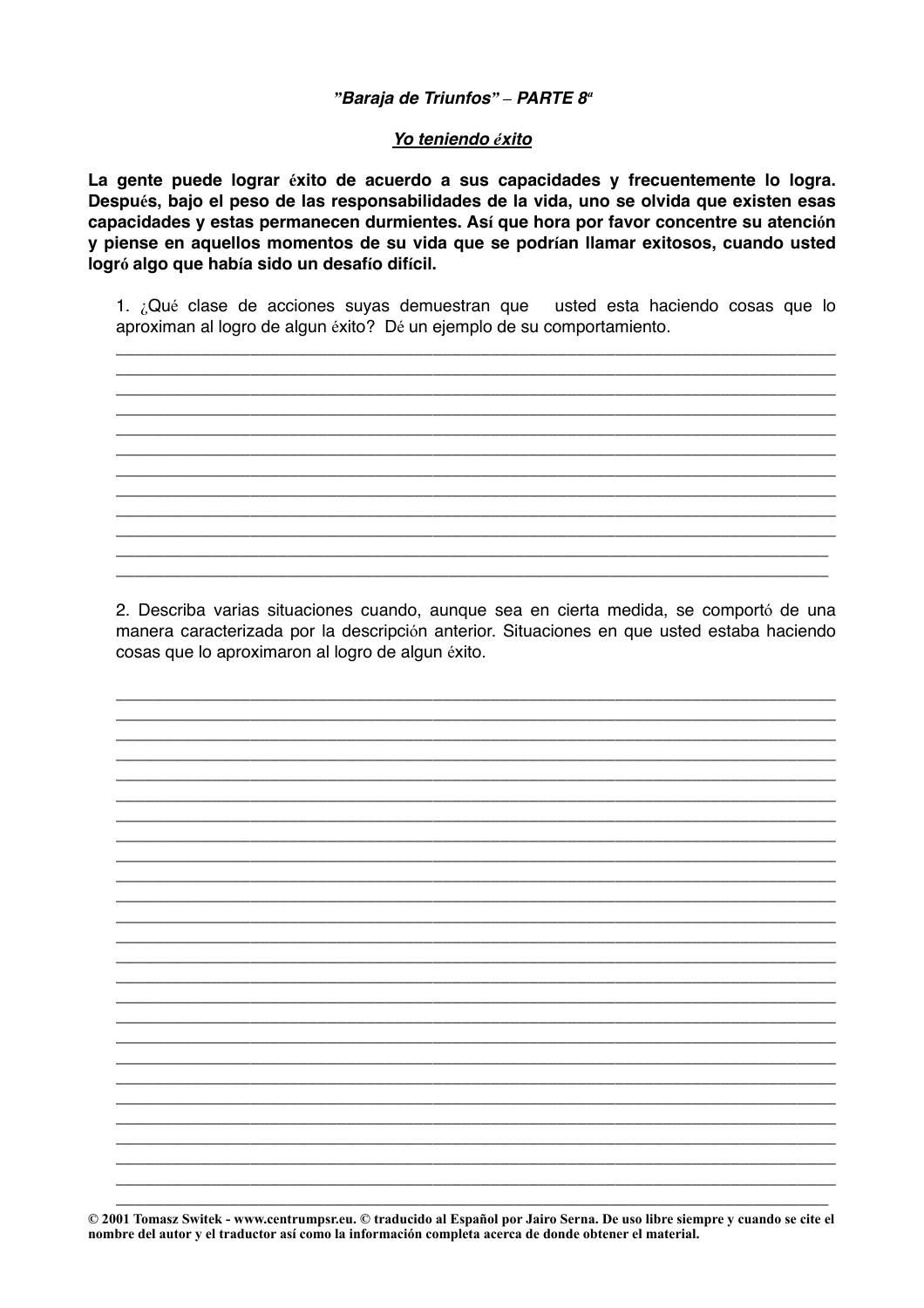## "Baraja de Triunfos" - PARTE 8<sup>ª</sup>

#### Yo teniendo éxito

La gente puede lograr éxito de acuerdo a sus capacidades y frecuentemente lo logra. Después, bajo el peso de las responsabilidades de la vida, uno se olvida que existen esas capacidades y estas permanecen durmientes. Así que hora por favor concentre su atención y piense en aquellos momentos de su vida que se podrían llamar exitosos, cuando usted logró algo que había sido un desafío difícil.

1. ¿Qué clase de acciones suvas demuestran que usted esta haciendo cosas que lo aproximan al logro de algun éxito? Dé un ejemplo de su comportamiento.

2. Describa varias situaciones cuando, aunque sea en cierta medida, se comportó de una manera caracterizada por la descripción anterior. Situaciones en que usted estaba haciendo cosas que lo aproximaron al logro de algun éxito.

<u> 1980 - Johann Johann Stoff, deutscher Stoff und der Stoff und der Stoff und der Stoff und der Stoff und der S</u>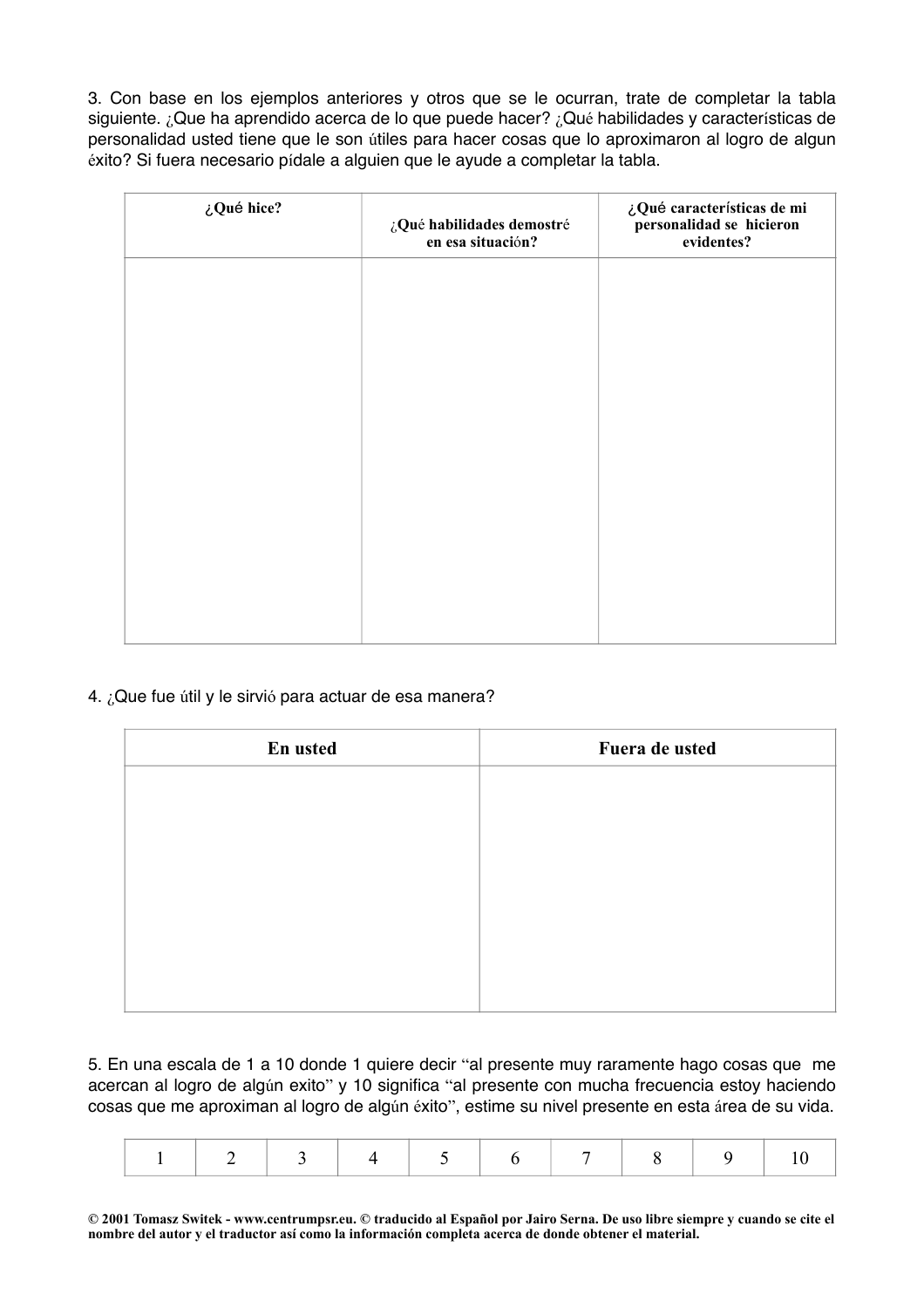3. Con base en los ejemplos anteriores y otros que se le ocurran, trate de completar la tabla siguiente. ¿Que ha aprendido acerca de lo que puede hacer? ¿Qué habilidades y características de personalidad usted tiene que le son útiles para hacer cosas que lo aproximaron al logro de algun éxito? Si fuera necesario pídale a alguien que le ayude a completar la tabla.

| ¿Qué hice? | ¿Qué habilidades demostré<br>en esa situación? | ¿Qué características de mi<br>personalidad se hicieron<br>evidentes? |
|------------|------------------------------------------------|----------------------------------------------------------------------|
|            |                                                |                                                                      |
|            |                                                |                                                                      |
|            |                                                |                                                                      |
|            |                                                |                                                                      |
|            |                                                |                                                                      |
|            |                                                |                                                                      |

## 4. ¿Que fue útil y le sirvió para actuar de esa manera?

| En usted | Fuera de usted |
|----------|----------------|
|          |                |
|          |                |
|          |                |
|          |                |
|          |                |
|          |                |
|          |                |

5. En una escala de 1 a 10 donde 1 quiere decir "al presente muy raramente hago cosas que me acercan al logro de algún exito" y 10 significa "al presente con mucha frecuencia estoy haciendo cosas que me aproximan al logro de algún éxito", estime su nivel presente en esta área de su vida.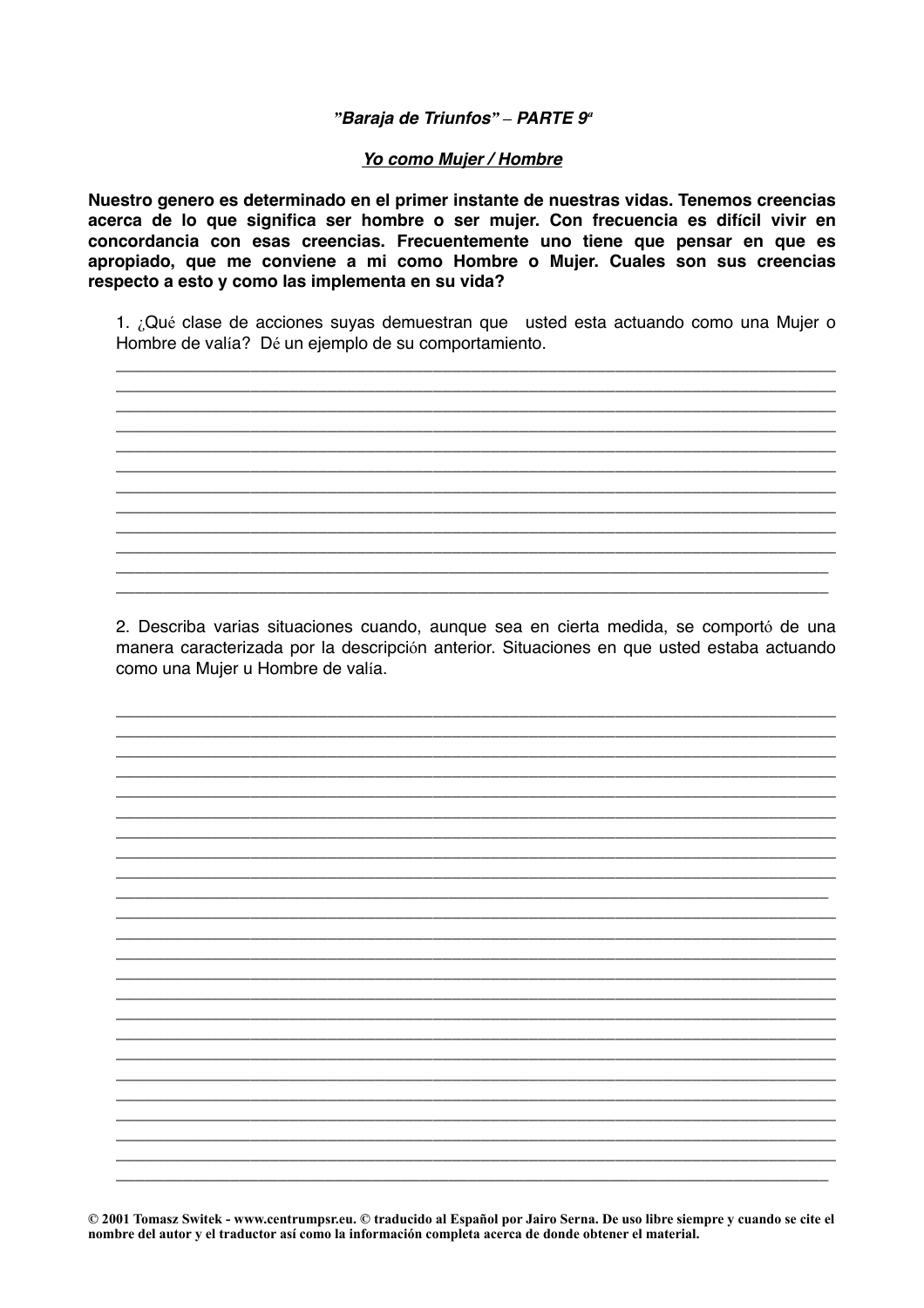#### "Baraja de Triunfos" - PARTE 9<sup>a</sup>

#### Yo como Mujer / Hombre

Nuestro genero es determinado en el primer instante de nuestras vidas. Tenemos creencias acerca de lo que significa ser hombre o ser mujer. Con frecuencia es difícil vivir en concordancia con esas creencias. Frecuentemente uno tiene que pensar en que es apropiado, que me conviene a mi como Hombre o Mujer. Cuales son sus creencias respecto a esto y como las implementa en su vida?

1. ¿Qué clase de acciones suyas demuestran que usted esta actuando como una Mujer o Hombre de valía? Dé un ejemplo de su comportamiento.

2. Describa varias situaciones cuando, aunque sea en cierta medida, se comportó de una manera caracterizada por la descripción anterior. Situaciones en que usted estaba actuando como una Mujer u Hombre de valía.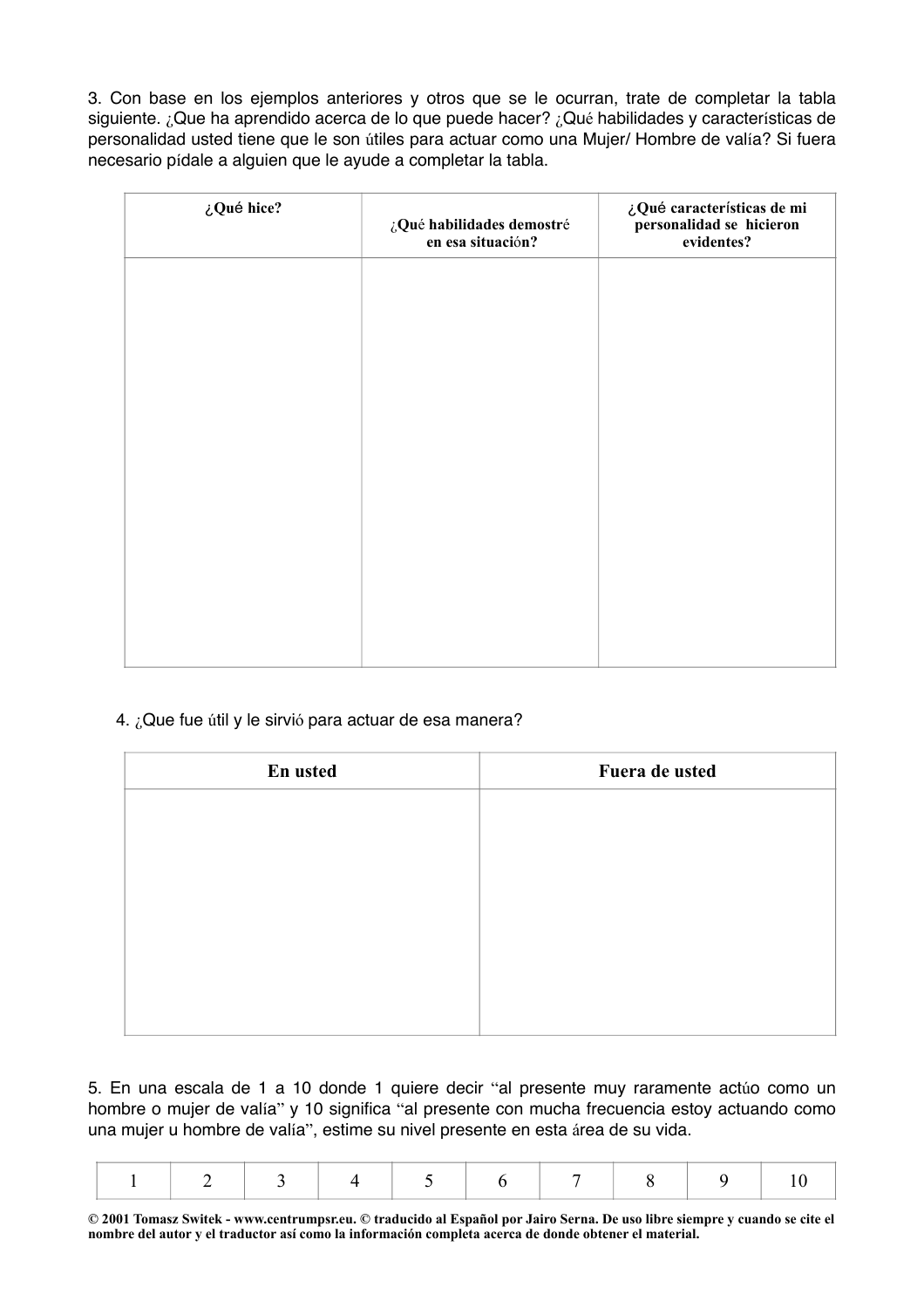3. Con base en los ejemplos anteriores y otros que se le ocurran, trate de completar la tabla siguiente. ¿Que ha aprendido acerca de lo que puede hacer? ¿Qué habilidades y características de personalidad usted tiene que le son útiles para actuar como una Mujer/ Hombre de valía? Si fuera necesario pídale a alguien que le ayude a completar la tabla.

| ¿Qué hice? | ¿Qué habilidades demostré<br>en esa situación? | ¿Qué características de mi<br>personalidad se hicieron<br>evidentes? |
|------------|------------------------------------------------|----------------------------------------------------------------------|
|            |                                                |                                                                      |
|            |                                                |                                                                      |
|            |                                                |                                                                      |
|            |                                                |                                                                      |
|            |                                                |                                                                      |
|            |                                                |                                                                      |
|            |                                                |                                                                      |

# 4. ¿Que fue útil y le sirvió para actuar de esa manera?

| En usted | Fuera de usted |
|----------|----------------|
|          |                |
|          |                |
|          |                |
|          |                |
|          |                |
|          |                |
|          |                |

5. En una escala de 1 a 10 donde 1 quiere decir "al presente muy raramente actúo como un hombre o mujer de valía" y 10 significa "al presente con mucha frecuencia estoy actuando como una mujer u hombre de valía", estime su nivel presente en esta área de su vida.

|--|--|--|--|--|--|--|--|--|--|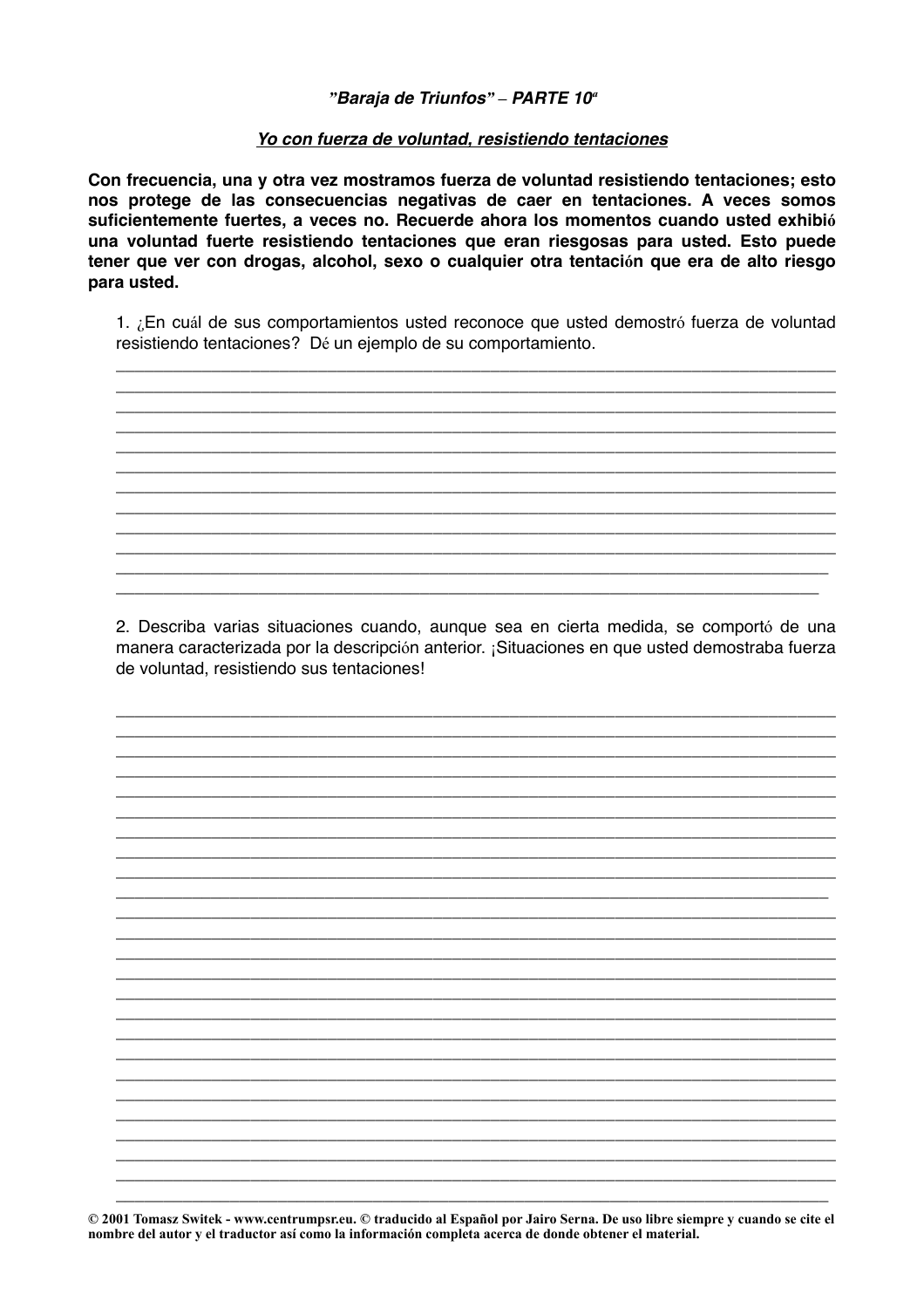#### "Baraja de Triunfos" - PARTE 10<sup>a</sup>

#### Yo con fuerza de voluntad, resistiendo tentaciones

Con frecuencia, una y otra vez mostramos fuerza de voluntad resistiendo tentaciones; esto nos protege de las consecuencias negativas de caer en tentaciones. A veces somos suficientemente fuertes, a veces no. Recuerde ahora los momentos cuando usted exhibió una voluntad fuerte resistiendo tentaciones que eran riesgosas para usted. Esto puede tener que ver con drogas, alcohol, sexo o cualquier otra tentación que era de alto riesgo para usted.

1. ¿En cuál de sus comportamientos usted reconoce que usted demostró fuerza de voluntad resistiendo tentaciones? Dé un ejemplo de su comportamiento.

2. Describa varias situaciones cuando, aunque sea en cierta medida, se comportó de una manera caracterizada por la descripción anterior. ¡Situaciones en que usted demostraba fuerza de voluntad, resistiendo sus tentaciones!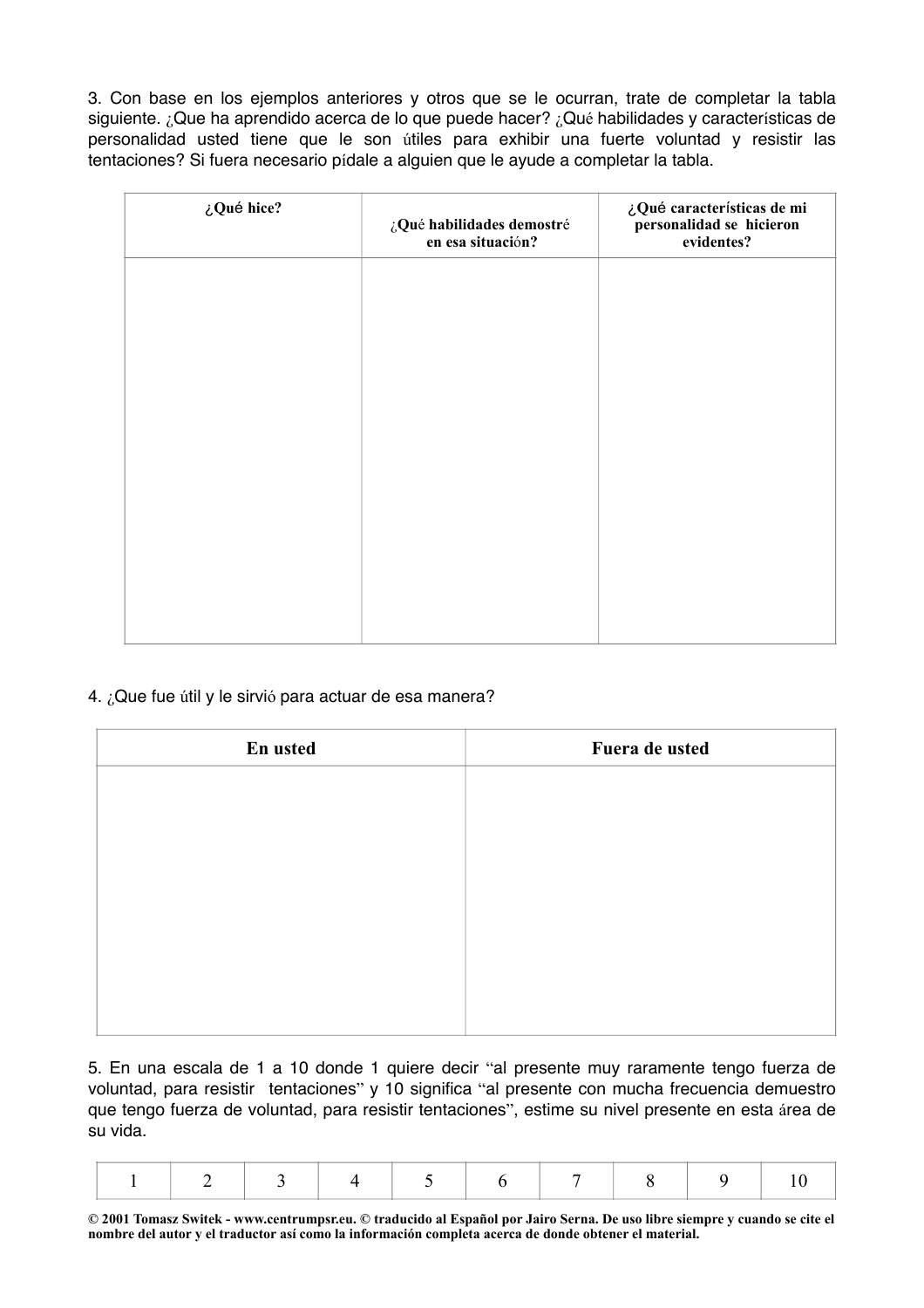3. Con base en los ejemplos anteriores y otros que se le ocurran, trate de completar la tabla siguiente. ¿Que ha aprendido acerca de lo que puede hacer? ¿Qué habilidades y características de personalidad usted tiene que le son útiles para exhibir una fuerte voluntad y resistir las tentaciones? Si fuera necesario pídale a alguien que le ayude a completar la tabla.

| ¿Qué hice? | ¿Qué habilidades demostré<br>en esa situación? | ¿Qué características de mi<br>personalidad se hicieron<br>evidentes? |
|------------|------------------------------------------------|----------------------------------------------------------------------|
|            |                                                |                                                                      |
|            |                                                |                                                                      |
|            |                                                |                                                                      |
|            |                                                |                                                                      |
|            |                                                |                                                                      |
|            |                                                |                                                                      |

## 4. ¿Que fue útil y le sirvió para actuar de esa manera?

| En usted | Fuera de usted |
|----------|----------------|
|          |                |
|          |                |
|          |                |
|          |                |
|          |                |
|          |                |
|          |                |
|          |                |

5. En una escala de 1 a 10 donde 1 quiere decir "al presente muy raramente tengo fuerza de voluntad, para resistir tentaciones" y 10 significa "al presente con mucha frecuencia demuestro que tengo fuerza de voluntad, para resistir tentaciones", estime su nivel presente en esta área de su vida.

|--|--|--|--|--|--|--|--|--|--|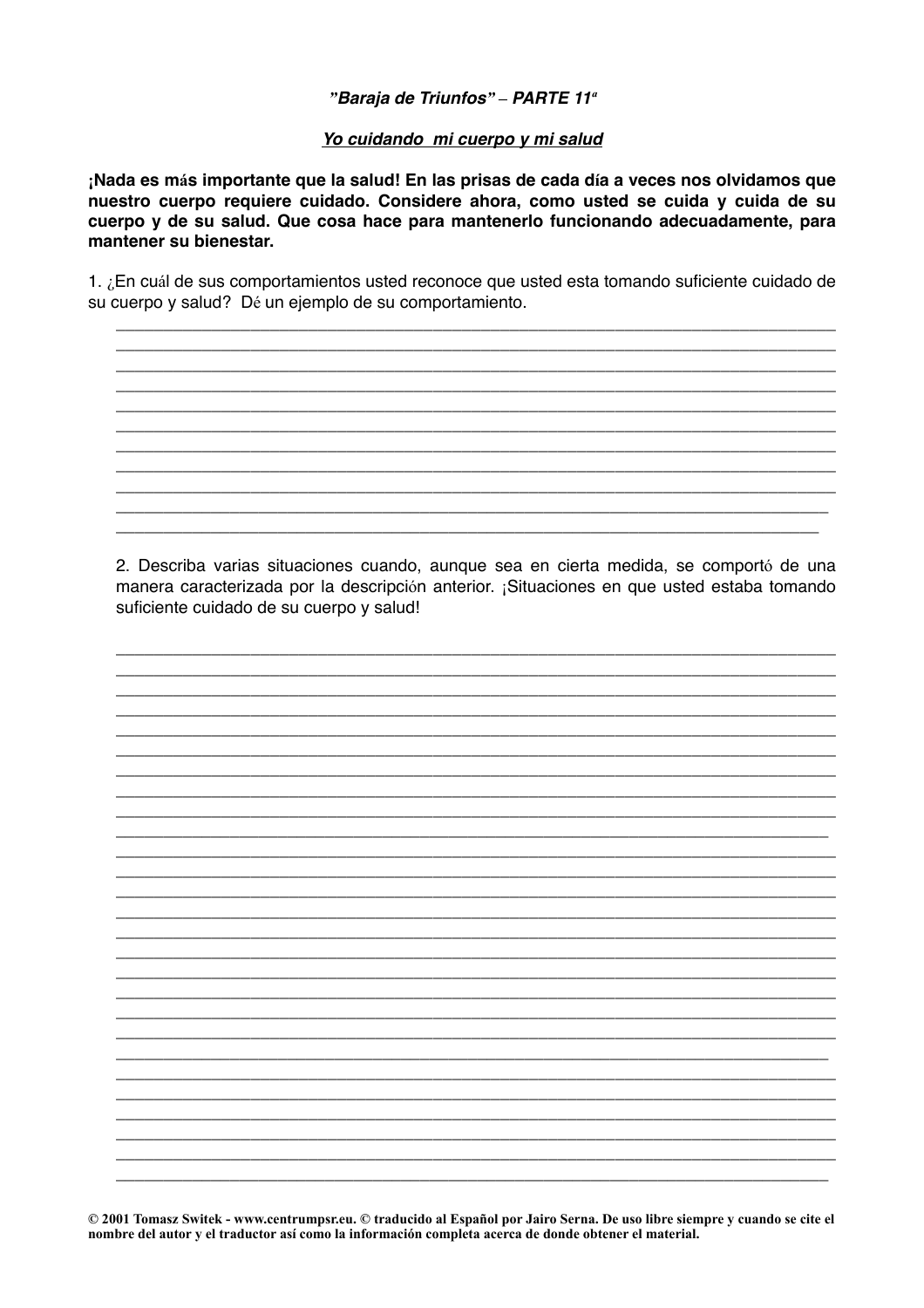## "Baraja de Triunfos" - PARTE 11<sup>ª</sup>

#### Yo cuidando mi cuerpo y mi salud

¡Nada es más importante que la salud! En las prisas de cada día a veces nos olvidamos que nuestro cuerpo requiere cuidado. Considere ahora, como usted se cuida y cuida de su cuerpo y de su salud. Que cosa hace para mantenerlo funcionando adecuadamente, para mantener su bienestar.

1. ¿En cuál de sus comportamientos usted reconoce que usted esta tomando suficiente cuidado de su cuerpo y salud? Dé un ejemplo de su comportamiento.

2. Describa varias situaciones cuando, aunque sea en cierta medida, se comportó de una manera caracterizada por la descripción anterior. ¡Situaciones en que usted estaba tomando suficiente cuidado de su cuerpo y salud!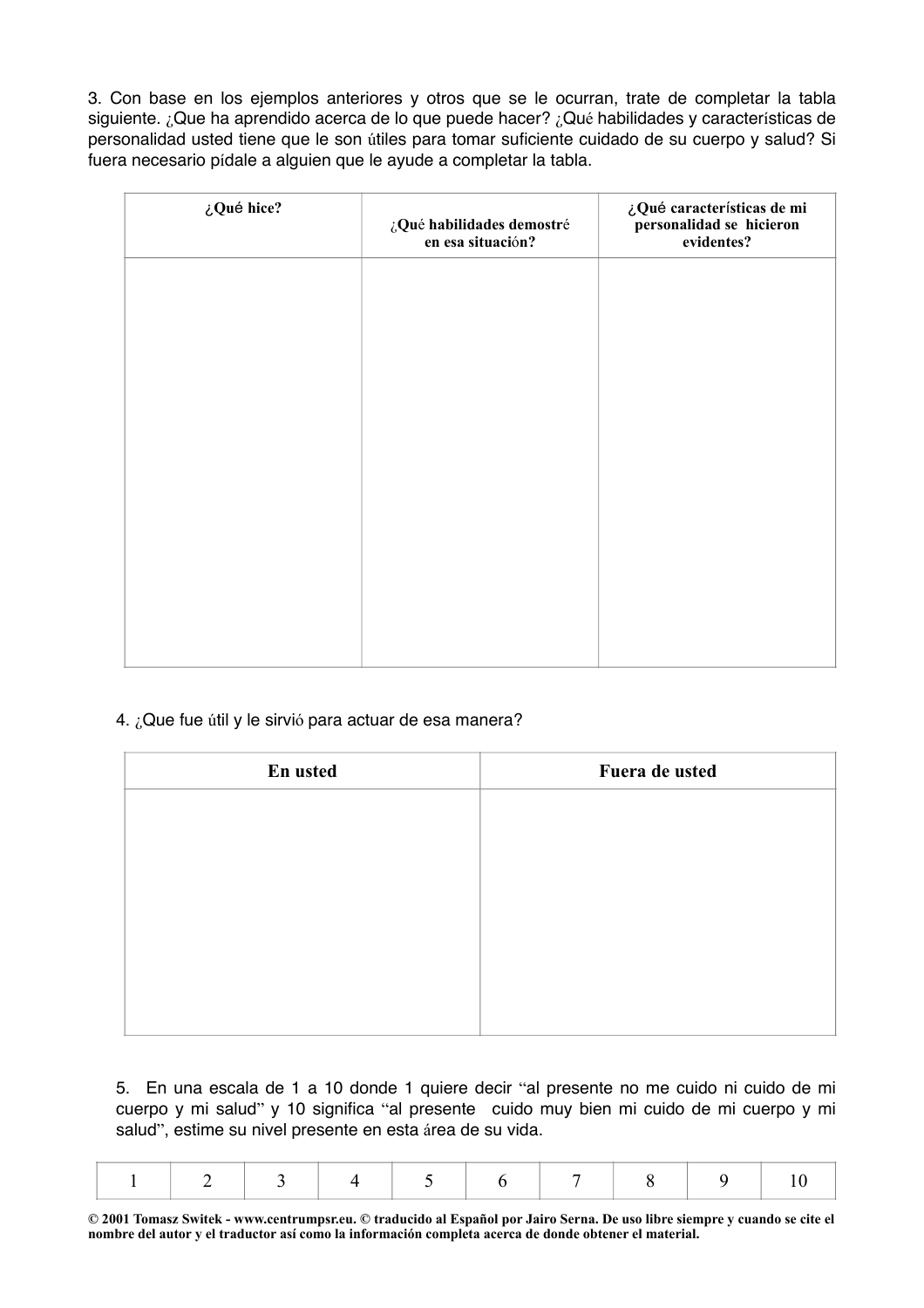3. Con base en los ejemplos anteriores y otros que se le ocurran, trate de completar la tabla siguiente. ¿Que ha aprendido acerca de lo que puede hacer? ¿Qué habilidades y características de personalidad usted tiene que le son útiles para tomar suficiente cuidado de su cuerpo y salud? Si fuera necesario pídale a alguien que le ayude a completar la tabla.

| ¿Qué hice? | ¿Qué habilidades demostré<br>en esa situación? | ¿Qué características de mi<br>personalidad se hicieron<br>evidentes? |
|------------|------------------------------------------------|----------------------------------------------------------------------|
|            |                                                |                                                                      |
|            |                                                |                                                                      |
|            |                                                |                                                                      |
|            |                                                |                                                                      |
|            |                                                |                                                                      |
|            |                                                |                                                                      |
|            |                                                |                                                                      |

# 4. ¿Que fue útil y le sirvió para actuar de esa manera?

| En usted | Fuera de usted |
|----------|----------------|
|          |                |
|          |                |
|          |                |
|          |                |
|          |                |
|          |                |
|          |                |

5. En una escala de 1 a 10 donde 1 quiere decir "al presente no me cuido ni cuido de mi cuerpo y mi salud" y 10 significa "al presente cuido muy bien mi cuido de mi cuerpo y mi salud", estime su nivel presente en esta área de su vida.

|--|--|--|--|--|--|--|--|--|--|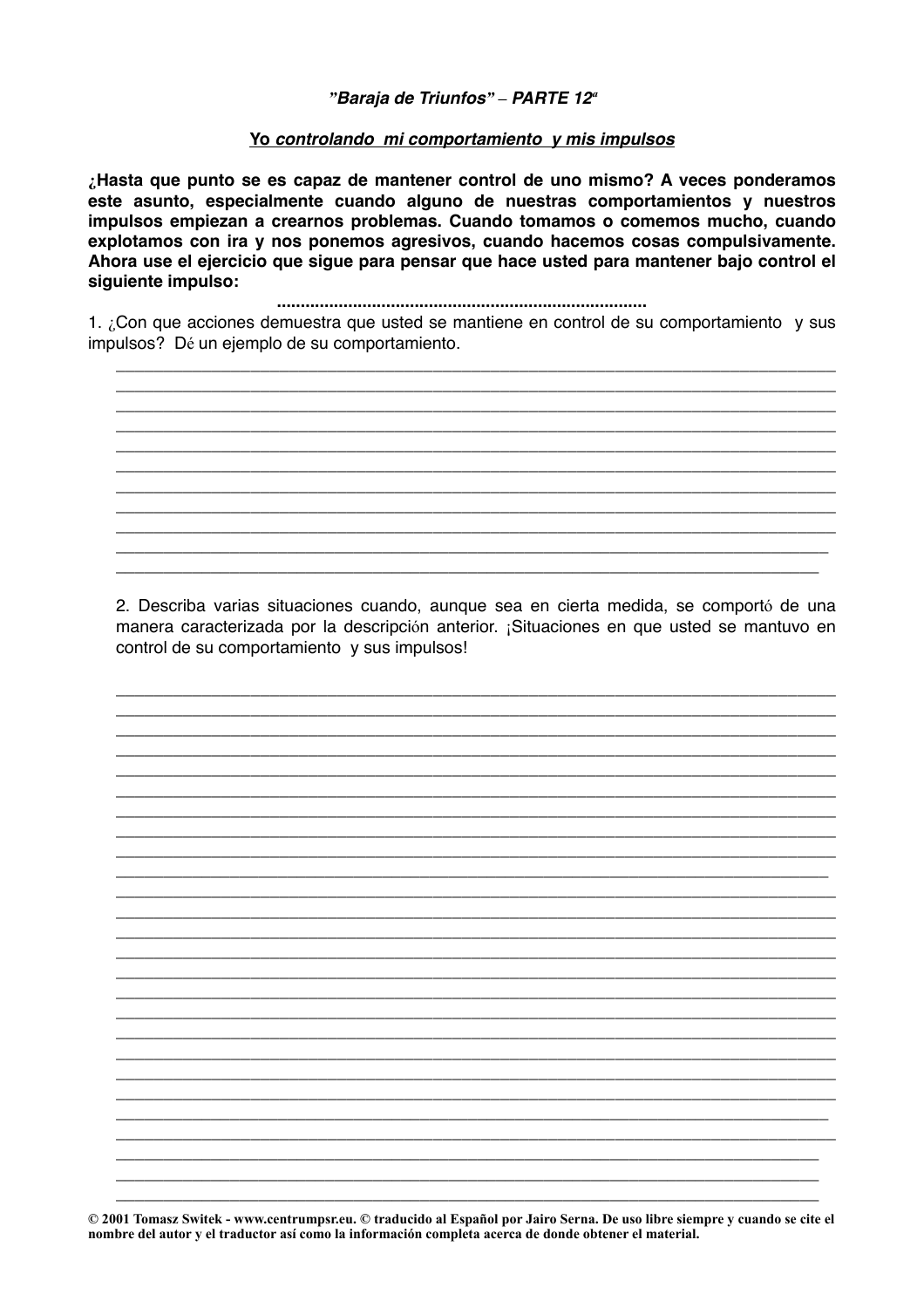#### "Baraja de Triunfos" - PARTE 12<sup>a</sup>

#### Yo controlando mi comportamiento y mis impulsos

¿Hasta que punto se es capaz de mantener control de uno mismo? A veces ponderamos este asunto, especialmente cuando alguno de nuestras comportamientos y nuestros impulsos empiezan a crearnos problemas. Cuando tomamos o comemos mucho, cuando explotamos con ira y nos ponemos agresivos, cuando hacemos cosas compulsivamente. Ahora use el ejercicio que sigue para pensar que hace usted para mantener bajo control el siquiente impulso:

1. ¿Con que acciones demuestra que usted se mantiene en control de su comportamiento y sus impulsos? Dé un ejemplo de su comportamiento.

2. Describa varias situaciones cuando, aunque sea en cierta medida, se comportó de una manera caracterizada por la descripción anterior. ¡Situaciones en que usted se mantuvo en control de su comportamiento y sus impulsos!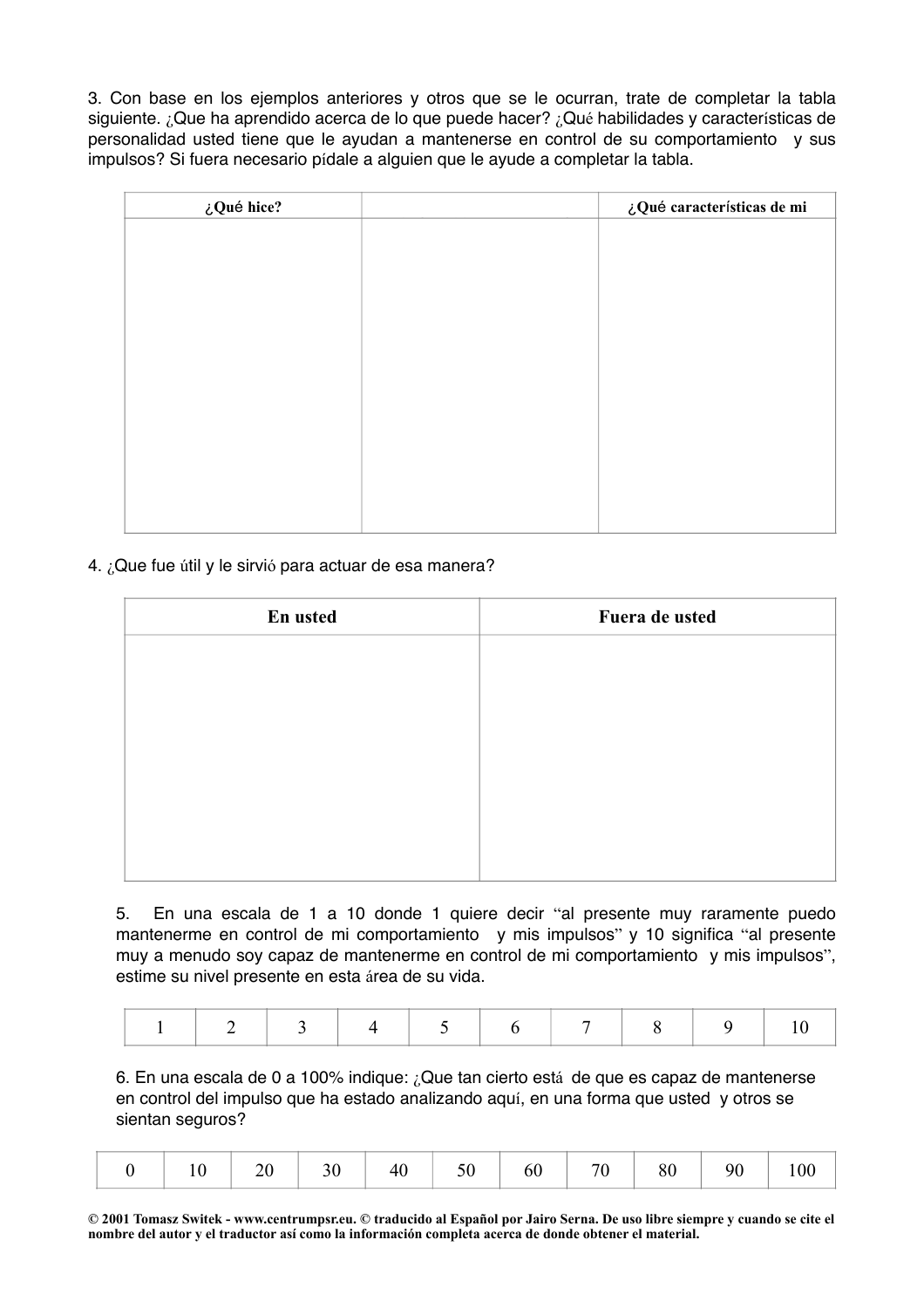3. Con base en los ejemplos anteriores y otros que se le ocurran, trate de completar la tabla siguiente. ¿Que ha aprendido acerca de lo que puede hacer? ¿Qué habilidades y características de personalidad usted tiene que le ayudan a mantenerse en control de su comportamiento y sus impulsos? Si fuera necesario pídale a alguien que le ayude a completar la tabla.

| $\zeta$ Qué hice? | ¿Qué características de mi |
|-------------------|----------------------------|
|                   |                            |
|                   |                            |
|                   |                            |
|                   |                            |
|                   |                            |
|                   |                            |
|                   |                            |
|                   |                            |
|                   |                            |
|                   |                            |
|                   |                            |
|                   |                            |

4. ¿Que fue útil y le sirvió para actuar de esa manera?

| En usted | Fuera de usted |
|----------|----------------|
|          |                |
|          |                |
|          |                |
|          |                |
|          |                |
|          |                |
|          |                |

5. En una escala de 1 a 10 donde 1 quiere decir "al presente muy raramente puedo mantenerme en control de mi comportamiento y mis impulsos" y 10 significa "al presente muy a menudo soy capaz de mantenerme en control de mi comportamiento y mis impulsos", estime su nivel presente en esta área de su vida.

|--|--|--|--|--|--|--|--|--|--|

6. En una escala de 0 a 100% indique: ¿Que tan cierto está de que es capaz de mantenerse en control del impulso que ha estado analizando aquí, en una forma que usted y otros se sientan seguros?

|  |  | $\sim 20$ | 30 |  |  |  |  |  |  |  |
|--|--|-----------|----|--|--|--|--|--|--|--|
|--|--|-----------|----|--|--|--|--|--|--|--|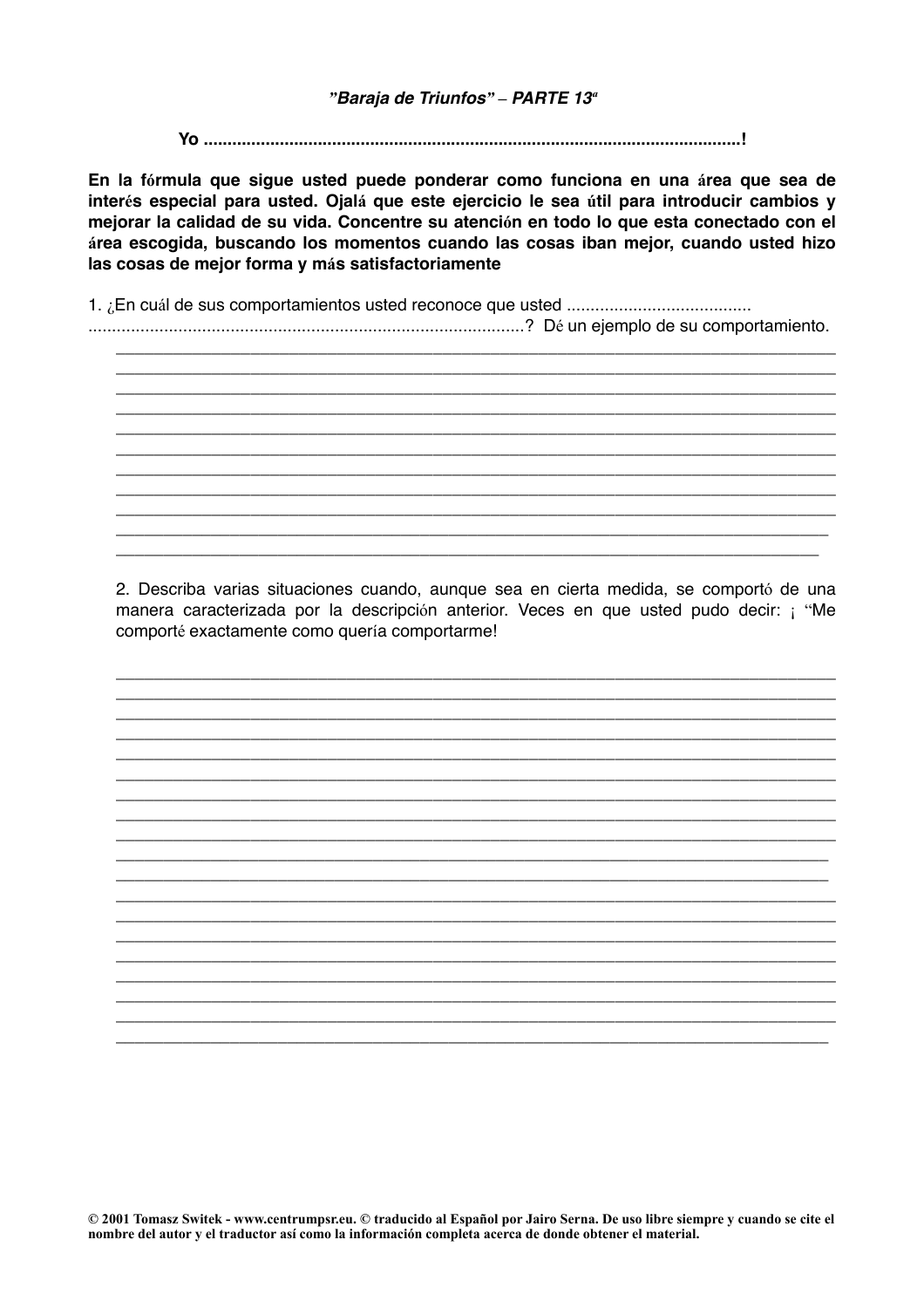#### "Baraja de Triunfos" - PARTE 13<sup>ª</sup>

En la fórmula que sigue usted puede ponderar como funciona en una área que sea de interés especial para usted. Ojalá que este ejercicio le sea útil para introducir cambios y mejorar la calidad de su vida. Concentre su atención en todo lo que esta conectado con el área escogida, buscando los momentos cuando las cosas iban mejor, cuando usted hizo las cosas de mejor forma y más satisfactoriamente

2. Describa varias situaciones cuando, aunque sea en cierta medida, se comportó de una manera caracterizada por la descripción anterior. Veces en que usted pudo decir: ¡ "Me comporté exactamente como quería comportarme!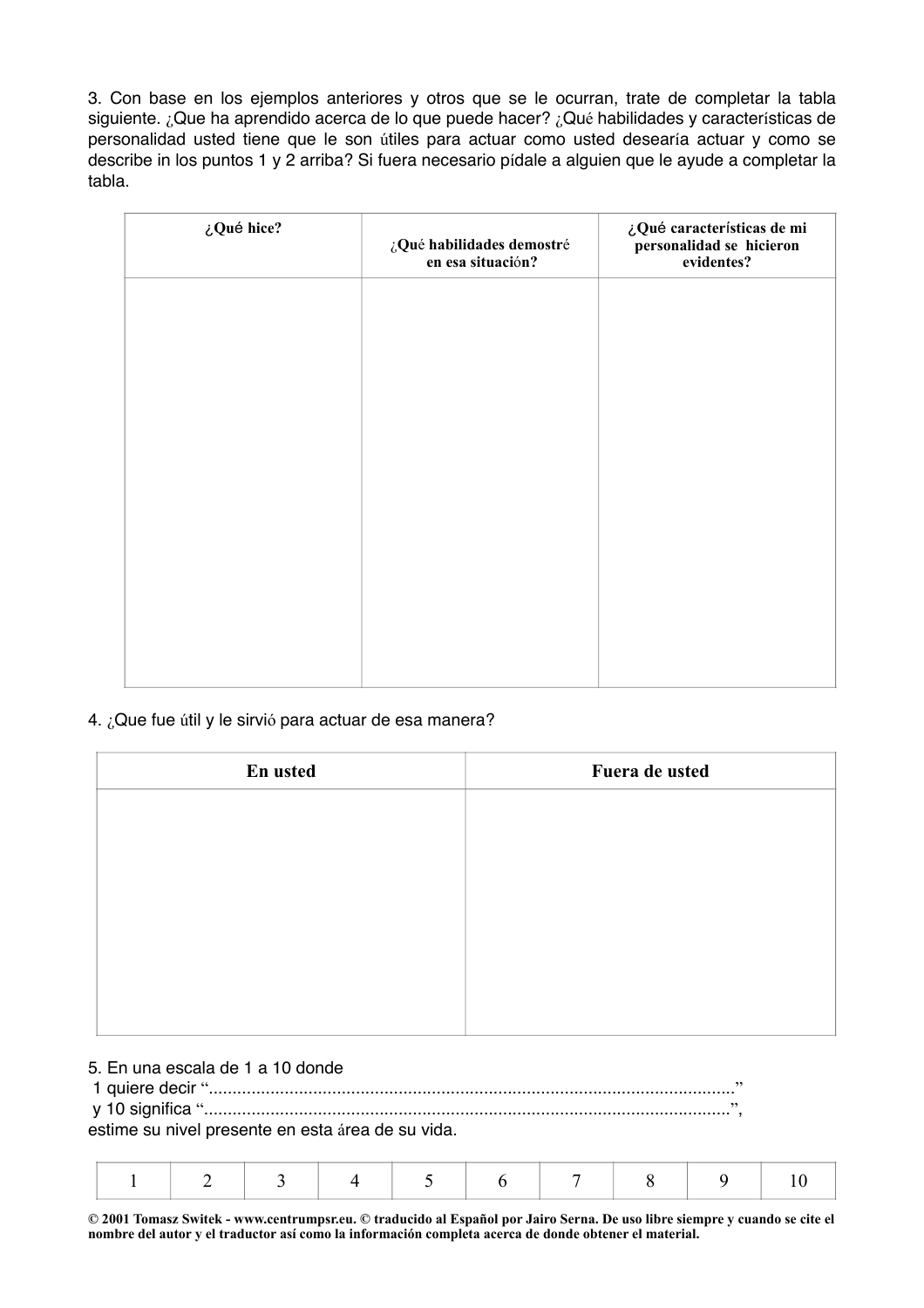3. Con base en los ejemplos anteriores y otros que se le ocurran, trate de completar la tabla siguiente. ¿Que ha aprendido acerca de lo que puede hacer? ¿Qué habilidades y características de personalidad usted tiene que le son útiles para actuar como usted desearía actuar y como se describe in los puntos 1 y 2 arriba? Si fuera necesario pídale a alguien que le ayude a completar la tabla.

| en esa situación? | evidentes? |
|-------------------|------------|
|                   |            |
|                   |            |
|                   |            |
|                   |            |
|                   |            |
|                   |            |
|                   |            |

## 4. ¿Que fue útil y le sirvió para actuar de esa manera?

| En usted | Fuera de usted |
|----------|----------------|
|          |                |
|          |                |
|          |                |
|          |                |
|          |                |
|          |                |
|          |                |

# 5. En una escala de 1 a 10 donde

 1 quiere decir "..............................................................................................................." y 10 significa "...............................................................................................................",

estime su nivel presente en esta área de su vida.

|--|--|--|--|--|--|--|--|--|--|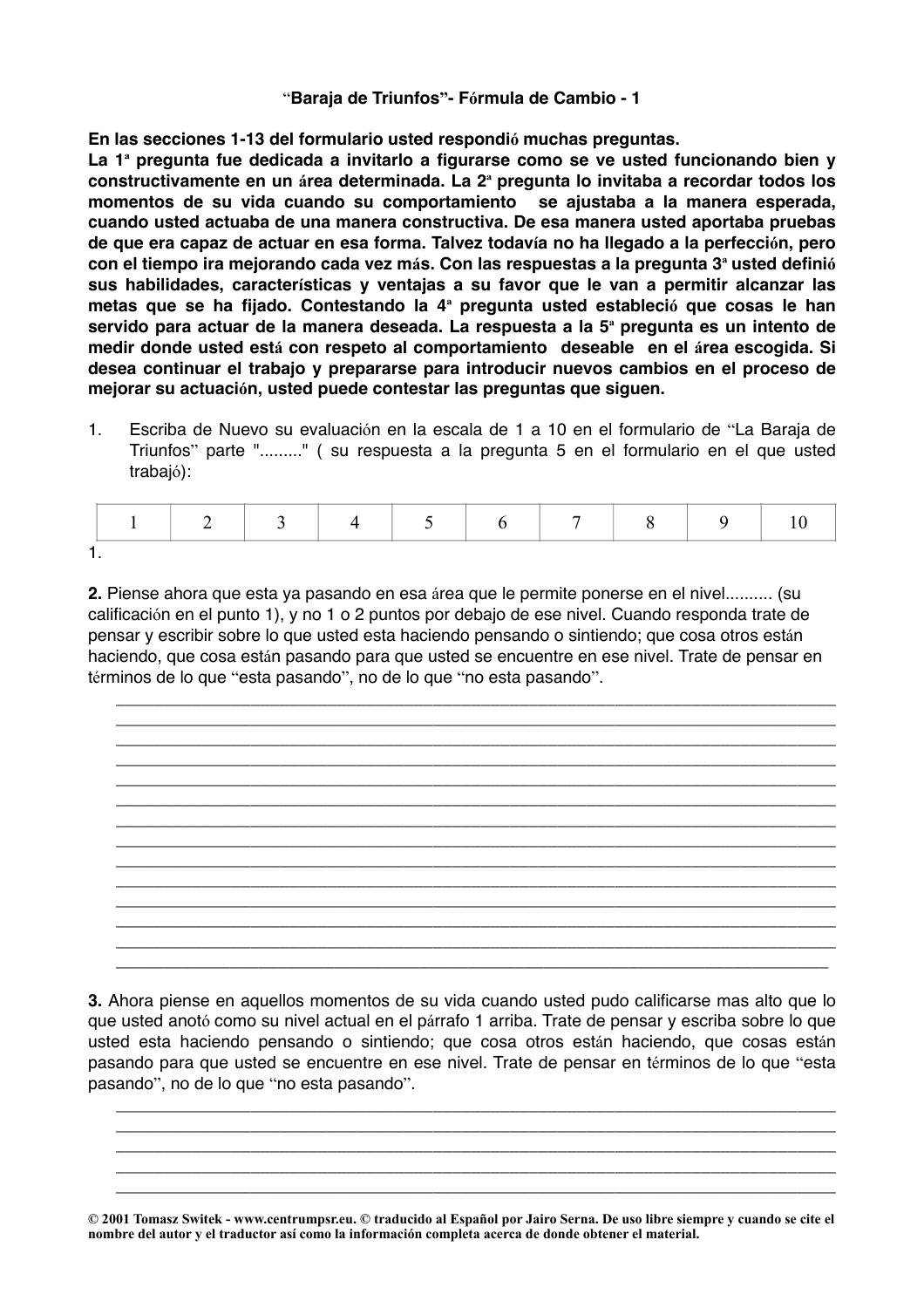#### "**Baraja de Triunfos"- Fórmula de Cambio - 1**

**En las secciones 1-13 del formulario usted respondió muchas preguntas.**

**La 1ª pregunta fue dedicada a invitarlo a figurarse como se ve usted funcionando bien y constructivamente en un área determinada. La 2ª pregunta lo invitaba a recordar todos los momentos de su vida cuando su comportamiento se ajustaba a la manera esperada, cuando usted actuaba de una manera constructiva. De esa manera usted aportaba pruebas de que era capaz de actuar en esa forma. Talvez todavía no ha llegado a la perfección, pero con el tiempo ira mejorando cada vez más. Con las respuestas a la pregunta 3ª usted definió sus habilidades, características y ventajas a su favor que le van a permitir alcanzar las metas que se ha fijado. Contestando la 4ª pregunta usted estableció que cosas le han servido para actuar de la manera deseada. La respuesta a la 5ª pregunta es un intento de medir donde usted está con respeto al comportamiento deseable en el área escogida. Si desea continuar el trabajo y prepararse para introducir nuevos cambios en el proceso de mejorar su actuación, usted puede contestar las preguntas que siguen.**

1. Escriba de Nuevo su evaluación en la escala de 1 a 10 en el formulario de "La Baraja de Triunfos" parte "........." ( su respuesta a la pregunta 5 en el formulario en el que usted trabajó):

|  |  |  | $\overline{ }$ |  |  |
|--|--|--|----------------|--|--|
|  |  |  |                |  |  |

**2.** Piense ahora que esta ya pasando en esa área que le permite ponerse en el nivel.......... (su calificación en el punto 1), y no 1 o 2 puntos por debajo de ese nivel. Cuando responda trate de pensar y escribir sobre lo que usted esta haciendo pensando o sintiendo; que cosa otros están haciendo, que cosa están pasando para que usted se encuentre en ese nivel. Trate de pensar en términos de lo que "esta pasando", no de lo que "no esta pasando".

\_\_\_\_\_\_\_\_\_\_\_\_\_\_\_\_\_\_\_\_\_\_\_\_\_\_\_\_\_\_\_\_\_\_\_\_\_\_\_\_\_\_\_\_\_\_\_\_\_\_\_\_\_\_\_\_\_\_\_\_\_\_\_\_\_\_\_\_\_\_\_\_\_\_\_ \_\_\_\_\_\_\_\_\_\_\_\_\_\_\_\_\_\_\_\_\_\_\_\_\_\_\_\_\_\_\_\_\_\_\_\_\_\_\_\_\_\_\_\_\_\_\_\_\_\_\_\_\_\_\_\_\_\_\_\_\_\_\_\_\_\_\_\_\_\_\_\_\_\_\_

\_\_\_\_\_\_\_\_\_\_\_\_\_\_\_\_\_\_\_\_\_\_\_\_\_\_\_\_\_\_\_\_\_\_\_\_\_\_\_\_\_\_\_\_\_\_\_\_\_\_\_\_\_\_\_\_\_\_\_\_\_\_\_\_\_\_\_\_\_\_\_\_\_\_\_ \_\_\_\_\_\_\_\_\_\_\_\_\_\_\_\_\_\_\_\_\_\_\_\_\_\_\_\_\_\_\_\_\_\_\_\_\_\_\_\_\_\_\_\_\_\_\_\_\_\_\_\_\_\_\_\_\_\_\_\_\_\_\_\_\_\_\_\_\_\_\_\_\_\_\_ \_\_\_\_\_\_\_\_\_\_\_\_\_\_\_\_\_\_\_\_\_\_\_\_\_\_\_\_\_\_\_\_\_\_\_\_\_\_\_\_\_\_\_\_\_\_\_\_\_\_\_\_\_\_\_\_\_\_\_\_\_\_\_\_\_\_\_\_\_\_\_\_\_\_\_ \_\_\_\_\_\_\_\_\_\_\_\_\_\_\_\_\_\_\_\_\_\_\_\_\_\_\_\_\_\_\_\_\_\_\_\_\_\_\_\_\_\_\_\_\_\_\_\_\_\_\_\_\_\_\_\_\_\_\_\_\_\_\_\_\_\_\_\_\_\_\_\_\_\_\_ \_\_\_\_\_\_\_\_\_\_\_\_\_\_\_\_\_\_\_\_\_\_\_\_\_\_\_\_\_\_\_\_\_\_\_\_\_\_\_\_\_\_\_\_\_\_\_\_\_\_\_\_\_\_\_\_\_\_\_\_\_\_\_\_\_\_\_\_\_\_\_\_\_\_\_ \_\_\_\_\_\_\_\_\_\_\_\_\_\_\_\_\_\_\_\_\_\_\_\_\_\_\_\_\_\_\_\_\_\_\_\_\_\_\_\_\_\_\_\_\_\_\_\_\_\_\_\_\_\_\_\_\_\_\_\_\_\_\_\_\_\_\_\_\_\_\_\_\_\_\_ \_\_\_\_\_\_\_\_\_\_\_\_\_\_\_\_\_\_\_\_\_\_\_\_\_\_\_\_\_\_\_\_\_\_\_\_\_\_\_\_\_\_\_\_\_\_\_\_\_\_\_\_\_\_\_\_\_\_\_\_\_\_\_\_\_\_\_\_\_\_\_\_\_\_\_ \_\_\_\_\_\_\_\_\_\_\_\_\_\_\_\_\_\_\_\_\_\_\_\_\_\_\_\_\_\_\_\_\_\_\_\_\_\_\_\_\_\_\_\_\_\_\_\_\_\_\_\_\_\_\_\_\_\_\_\_\_\_\_\_\_\_\_\_\_\_\_\_\_\_\_ \_\_\_\_\_\_\_\_\_\_\_\_\_\_\_\_\_\_\_\_\_\_\_\_\_\_\_\_\_\_\_\_\_\_\_\_\_\_\_\_\_\_\_\_\_\_\_\_\_\_\_\_\_\_\_\_\_\_\_\_\_\_\_\_\_\_\_\_\_\_\_\_\_\_\_ \_\_\_\_\_\_\_\_\_\_\_\_\_\_\_\_\_\_\_\_\_\_\_\_\_\_\_\_\_\_\_\_\_\_\_\_\_\_\_\_\_\_\_\_\_\_\_\_\_\_\_\_\_\_\_\_\_\_\_\_\_\_\_\_\_\_\_\_\_\_\_\_\_\_\_ \_\_\_\_\_\_\_\_\_\_\_\_\_\_\_\_\_\_\_\_\_\_\_\_\_\_\_\_\_\_\_\_\_\_\_\_\_\_\_\_\_\_\_\_\_\_\_\_\_\_\_\_\_\_\_\_\_\_\_\_\_\_\_\_\_\_\_\_\_\_\_\_\_\_\_

**3.** Ahora piense en aquellos momentos de su vida cuando usted pudo calificarse mas alto que lo que usted anotó como su nivel actual en el párrafo 1 arriba. Trate de pensar y escriba sobre lo que usted esta haciendo pensando o sintiendo; que cosa otros están haciendo, que cosas están pasando para que usted se encuentre en ese nivel. Trate de pensar en términos de lo que "esta pasando", no de lo que "no esta pasando".

\_\_\_\_\_\_\_\_\_\_\_\_\_\_\_\_\_\_\_\_\_\_\_\_\_\_\_\_\_\_\_\_\_\_\_\_\_\_\_\_\_\_\_\_\_\_\_\_\_\_\_\_\_\_\_\_\_\_\_\_\_\_\_\_\_\_\_\_\_\_\_\_\_\_\_ \_\_\_\_\_\_\_\_\_\_\_\_\_\_\_\_\_\_\_\_\_\_\_\_\_\_\_\_\_\_\_\_\_\_\_\_\_\_\_\_\_\_\_\_\_\_\_\_\_\_\_\_\_\_\_\_\_\_\_\_\_\_\_\_\_\_\_\_\_\_\_\_\_\_\_ \_\_\_\_\_\_\_\_\_\_\_\_\_\_\_\_\_\_\_\_\_\_\_\_\_\_\_\_\_\_\_\_\_\_\_\_\_\_\_\_\_\_\_\_\_\_\_\_\_\_\_\_\_\_\_\_\_\_\_\_\_\_\_\_\_\_\_\_\_\_\_\_\_\_\_ \_\_\_\_\_\_\_\_\_\_\_\_\_\_\_\_\_\_\_\_\_\_\_\_\_\_\_\_\_\_\_\_\_\_\_\_\_\_\_\_\_\_\_\_\_\_\_\_\_\_\_\_\_\_\_\_\_\_\_\_\_\_\_\_\_\_\_\_\_\_\_\_\_\_\_ \_\_\_\_\_\_\_\_\_\_\_\_\_\_\_\_\_\_\_\_\_\_\_\_\_\_\_\_\_\_\_\_\_\_\_\_\_\_\_\_\_\_\_\_\_\_\_\_\_\_\_\_\_\_\_\_\_\_\_\_\_\_\_\_\_\_\_\_\_\_\_\_\_\_\_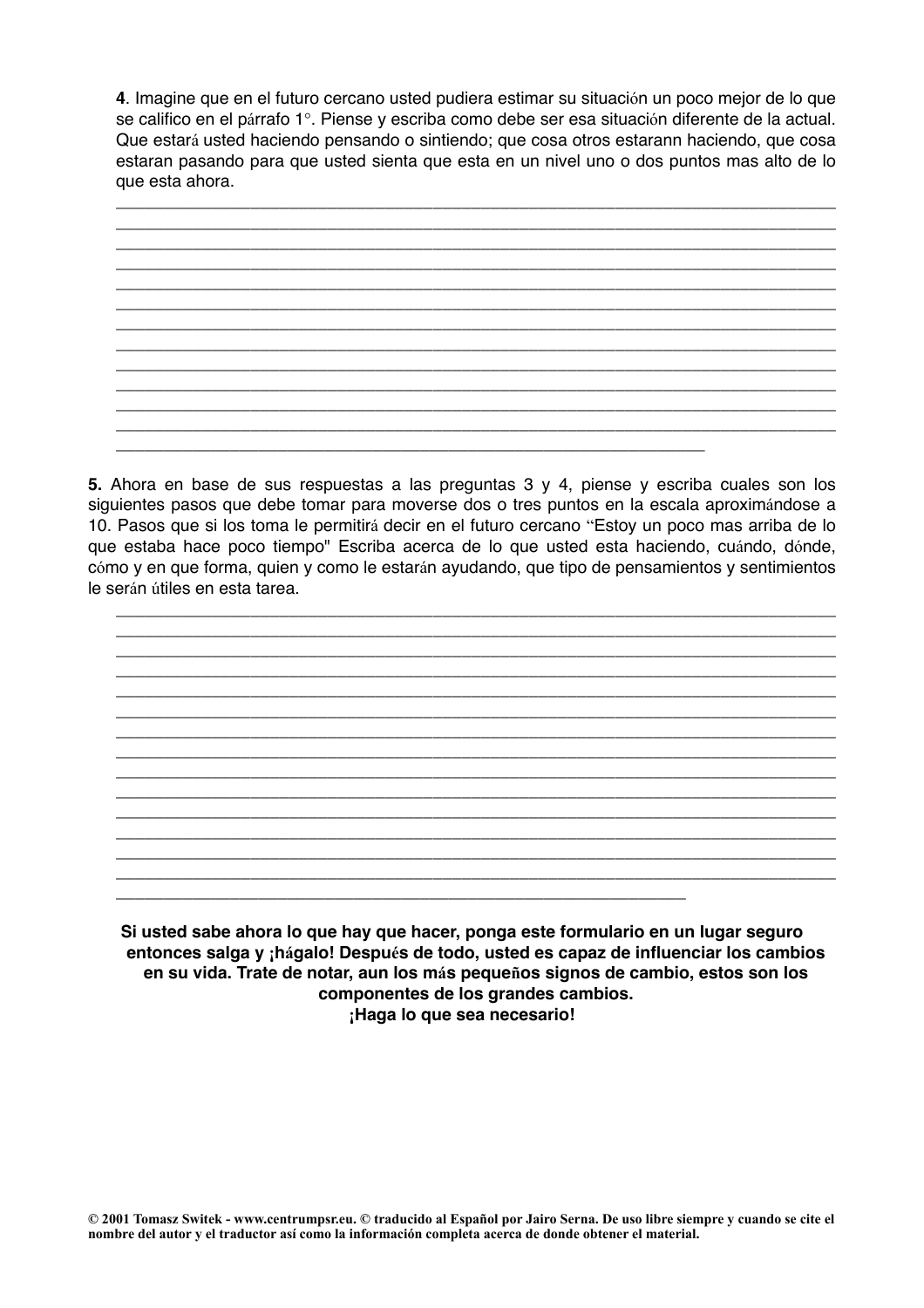**4**. Imagine que en el futuro cercano usted pudiera estimar su situación un poco mejor de lo que se califico en el párrafo 1°. Piense y escriba como debe ser esa situación diferente de la actual. Que estará usted haciendo pensando o sintiendo; que cosa otros estarann haciendo, que cosa estaran pasando para que usted sienta que esta en un nivel uno o dos puntos mas alto de lo que esta ahora.



**5.** Ahora en base de sus respuestas a las preguntas 3 y 4, piense y escriba cuales son los siguientes pasos que debe tomar para moverse dos o tres puntos en la escala aproximándose a 10. Pasos que si los toma le permitirá decir en el futuro cercano "Estoy un poco mas arriba de lo que estaba hace poco tiempo" Escriba acerca de lo que usted esta haciendo, cuándo, dónde, cómo y en que forma, quien y como le estarán ayudando, que tipo de pensamientos y sentimientos le serán útiles en esta tarea.



**Si usted sabe ahora lo que hay que hacer, ponga este formulario en un lugar seguro entonces salga y ¡hágalo! Después de todo, usted es capaz de influenciar los cambios en su vida. Trate de notar, aun los más pequeños signos de cambio, estos son los componentes de los grandes cambios. ¡Haga lo que sea necesario!**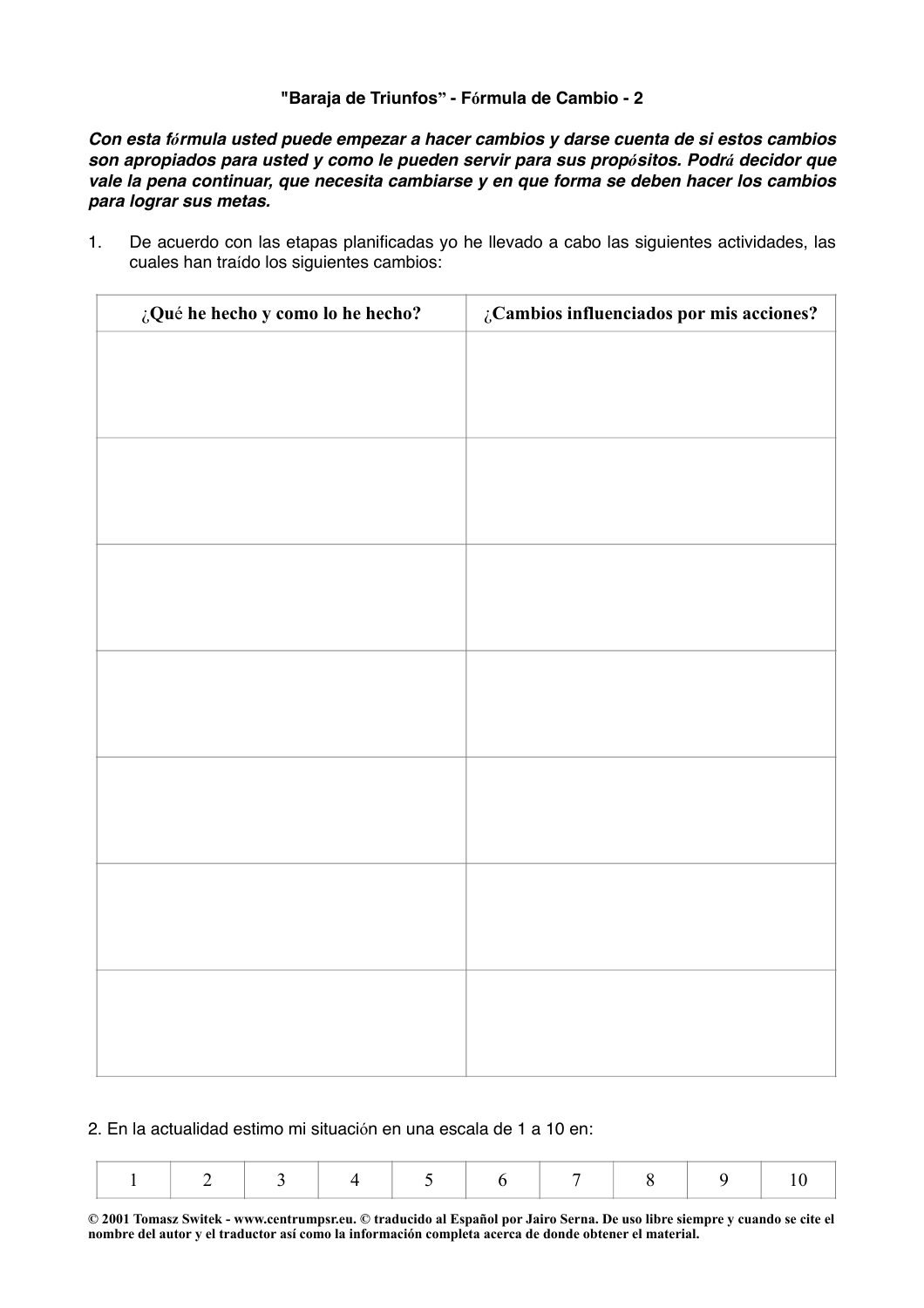# **"Baraja de Triunfos" - Fórmula de Cambio - 2**

*Con esta fórmula usted puede empezar a hacer cambios y darse cuenta de si estos cambios son apropiados para usted y como le pueden servir para sus propósitos. Podrá decidor que vale la pena continuar, que necesita cambiarse y en que forma se deben hacer los cambios para lograr sus metas.*

1. De acuerdo con las etapas planificadas yo he llevado a cabo las siguientes actividades, las cuales han traído los siguientes cambios:

| ¿Qué he hecho y como lo he hecho? | $\zeta$ Cambios influenciados por mis acciones? |
|-----------------------------------|-------------------------------------------------|
|                                   |                                                 |
|                                   |                                                 |
|                                   |                                                 |
|                                   |                                                 |
|                                   |                                                 |
|                                   |                                                 |
|                                   |                                                 |
|                                   |                                                 |
|                                   |                                                 |
|                                   |                                                 |
|                                   |                                                 |
|                                   |                                                 |
|                                   |                                                 |
|                                   |                                                 |
|                                   |                                                 |
|                                   |                                                 |
|                                   |                                                 |
|                                   |                                                 |
|                                   |                                                 |
|                                   |                                                 |
|                                   |                                                 |

2. En la actualidad estimo mi situación en una escala de 1 a 10 en: